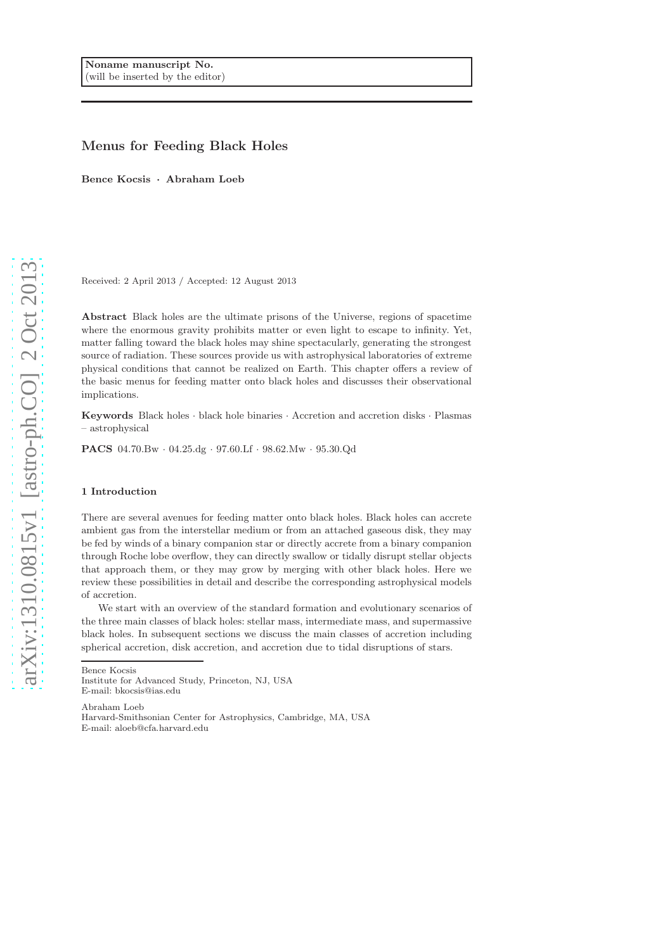# Menus for Feeding Black Holes

Bence Kocsis · Abraham Loeb

Received: 2 April 2013 / Accepted: 12 August 2013

Abstract Black holes are the ultimate prisons of the Universe, regions of spacetime where the enormous gravity prohibits matter or even light to escape to infinity. Yet, matter falling toward the black holes may shine spectacularly, generating the strongest source of radiation. These sources provide us with astrophysical laboratories of extreme physical conditions that cannot be realized on Earth. This chapter offers a review of the basic menus for feeding matter onto black holes and discusses their observational implications.

Keywords Black holes · black hole binaries · Accretion and accretion disks · Plasmas – astrophysical

PACS 04.70.Bw · 04.25.dg · 97.60.Lf · 98.62.Mw · 95.30.Qd

### 1 Introduction

There are several avenues for feeding matter onto black holes. Black holes can accrete ambient gas from the interstellar medium or from an attached gaseous disk, they may be fed by winds of a binary companion star or directly accrete from a binary companion through Roche lobe overflow, they can directly swallow or tidally disrupt stellar objects that approach them, or they may grow by merging with other black holes. Here we review these possibilities in detail and describe the corresponding astrophysical models of accretion.

We start with an overview of the standard formation and evolutionary scenarios of the three main classes of black holes: stellar mass, intermediate mass, and supermassive black holes. In subsequent sections we discuss the main classes of accretion including spherical accretion, disk accretion, and accretion due to tidal disruptions of stars.

Bence Kocsis

Institute for Advanced Study, Princeton, NJ, USA E-mail: bkocsis@ias.edu

Abraham Loeb

Harvard-Smithsonian Center for Astrophysics, Cambridge, MA, USA E-mail: aloeb@cfa.harvard.edu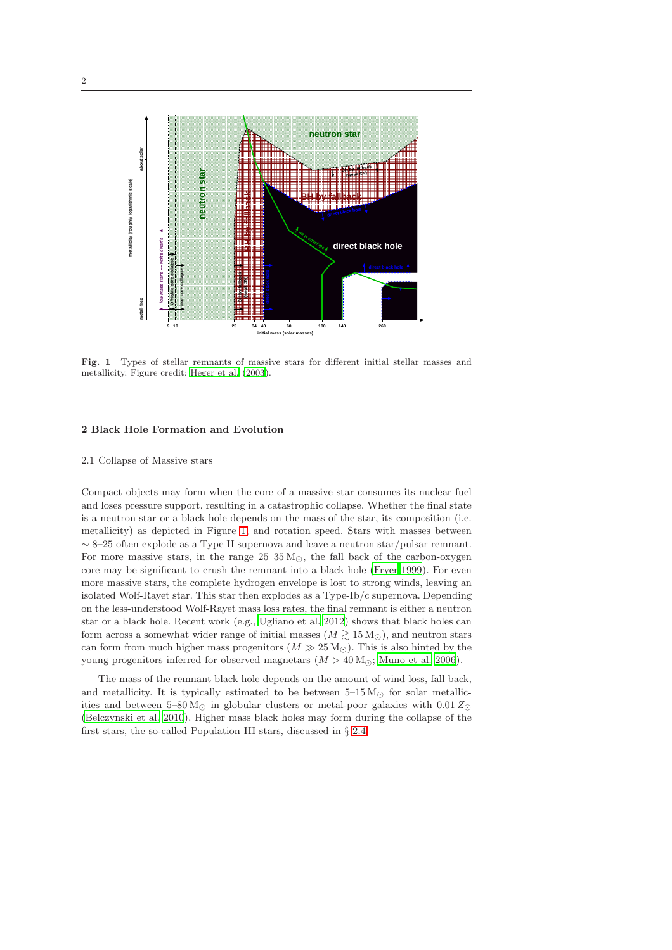

<span id="page-1-0"></span>Fig. 1 Types of stellar remnants of massive stars for different initial stellar masses and metallicity. Figure credit: [Heger et al. \(2003](#page-22-0)).

# 2 Black Hole Formation and Evolution

### 2.1 Collapse of Massive stars

Compact objects may form when the core of a massive star consumes its nuclear fuel and loses pressure support, resulting in a catastrophic collapse. Whether the final state is a neutron star or a black hole depends on the mass of the star, its composition (i.e. metallicity) as depicted in Figure [1,](#page-1-0) and rotation speed. Stars with masses between ∼ 8–25 often explode as a Type II supernova and leave a neutron star/pulsar remnant. For more massive stars, in the range  $25-35 \,\mathrm{M}_{\odot}$ , the fall back of the carbon-oxygen core may be significant to crush the remnant into a black hole [\(Fryer 1999\)](#page-21-0). For even more massive stars, the complete hydrogen envelope is lost to strong winds, leaving an isolated Wolf-Rayet star. This star then explodes as a Type-Ib/c supernova. Depending on the less-understood Wolf-Rayet mass loss rates, the final remnant is either a neutron star or a black hole. Recent work (e.g., [Ugliano et al. 2012](#page-25-0)) shows that black holes can form across a somewhat wider range of initial masses ( $M \gtrsim 15 \,\mathrm{M}_{\odot}$ ), and neutron stars can form from much higher mass progenitors  $(M \gg 25 \,\mathrm{M}_{\odot})$ . This is also hinted by the young progenitors inferred for observed magnetars  $(M > 40 M_{\odot})$ ; [Muno et al. 2006\)](#page-23-0).

The mass of the remnant black hole depends on the amount of wind loss, fall back, and metallicity. It is typically estimated to be between  $5-15 M_{\odot}$  for solar metallicities and between 5–80  $M_{\odot}$  in globular clusters or metal-poor galaxies with 0.01  $Z_{\odot}$ [\(Belczynski et al. 2010](#page-20-0)). Higher mass black holes may form during the collapse of the first stars, the so-called Population III stars, discussed in § [2.4.](#page-6-0)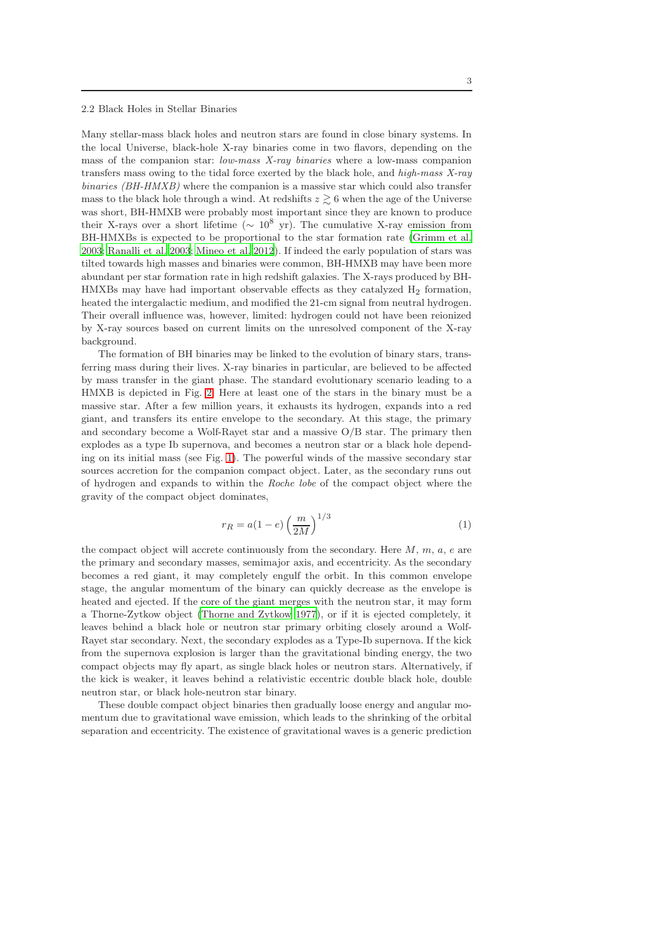<span id="page-2-0"></span>2.2 Black Holes in Stellar Binaries

Many stellar-mass black holes and neutron stars are found in close binary systems. In the local Universe, black-hole X-ray binaries come in two flavors, depending on the mass of the companion star: low-mass X-ray binaries where a low-mass companion transfers mass owing to the tidal force exerted by the black hole, and high-mass X-ray binaries (BH-HMXB) where the companion is a massive star which could also transfer mass to the black hole through a wind. At redshifts  $z \geq 6$  when the age of the Universe was short, BH-HMXB were probably most important since they are known to produce their X-rays over a short lifetime ( $\sim 10^8$  yr). The cumulative X-ray emission from BH-HMXBs is expected to be proportional to the star formation rate [\(Grimm et al.](#page-22-1) [2003](#page-22-1); [Ranalli et al. 2003](#page-24-0); [Mineo et al. 2012\)](#page-23-1). If indeed the early population of stars was tilted towards high masses and binaries were common, BH-HMXB may have been more abundant per star formation rate in high redshift galaxies. The X-rays produced by BH-HMXBs may have had important observable effects as they catalyzed H2 formation, heated the intergalactic medium, and modified the 21-cm signal from neutral hydrogen. Their overall influence was, however, limited: hydrogen could not have been reionized by X-ray sources based on current limits on the unresolved component of the X-ray background.

The formation of BH binaries may be linked to the evolution of binary stars, transferring mass during their lives. X-ray binaries in particular, are believed to be affected by mass transfer in the giant phase. The standard evolutionary scenario leading to a HMXB is depicted in Fig. [2.](#page-3-0) Here at least one of the stars in the binary must be a massive star. After a few million years, it exhausts its hydrogen, expands into a red giant, and transfers its entire envelope to the secondary. At this stage, the primary and secondary become a Wolf-Rayet star and a massive O/B star. The primary then explodes as a type Ib supernova, and becomes a neutron star or a black hole depending on its initial mass (see Fig. [1\)](#page-1-0). The powerful winds of the massive secondary star sources accretion for the companion compact object. Later, as the secondary runs out of hydrogen and expands to within the Roche lobe of the compact object where the gravity of the compact object dominates,

<span id="page-2-1"></span>
$$
r_R = a(1 - e) \left(\frac{m}{2M}\right)^{1/3} \tag{1}
$$

the compact object will accrete continuously from the secondary. Here  $M, m, a, e$  are the primary and secondary masses, semimajor axis, and eccentricity. As the secondary becomes a red giant, it may completely engulf the orbit. In this common envelope stage, the angular momentum of the binary can quickly decrease as the envelope is heated and ejected. If the core of the giant merges with the neutron star, it may form a Thorne-Zytkow object [\(Thorne and Zytkow 1977](#page-25-1)), or if it is ejected completely, it leaves behind a black hole or neutron star primary orbiting closely around a Wolf-Rayet star secondary. Next, the secondary explodes as a Type-Ib supernova. If the kick from the supernova explosion is larger than the gravitational binding energy, the two compact objects may fly apart, as single black holes or neutron stars. Alternatively, if the kick is weaker, it leaves behind a relativistic eccentric double black hole, double neutron star, or black hole-neutron star binary.

These double compact object binaries then gradually loose energy and angular momentum due to gravitational wave emission, which leads to the shrinking of the orbital separation and eccentricity. The existence of gravitational waves is a generic prediction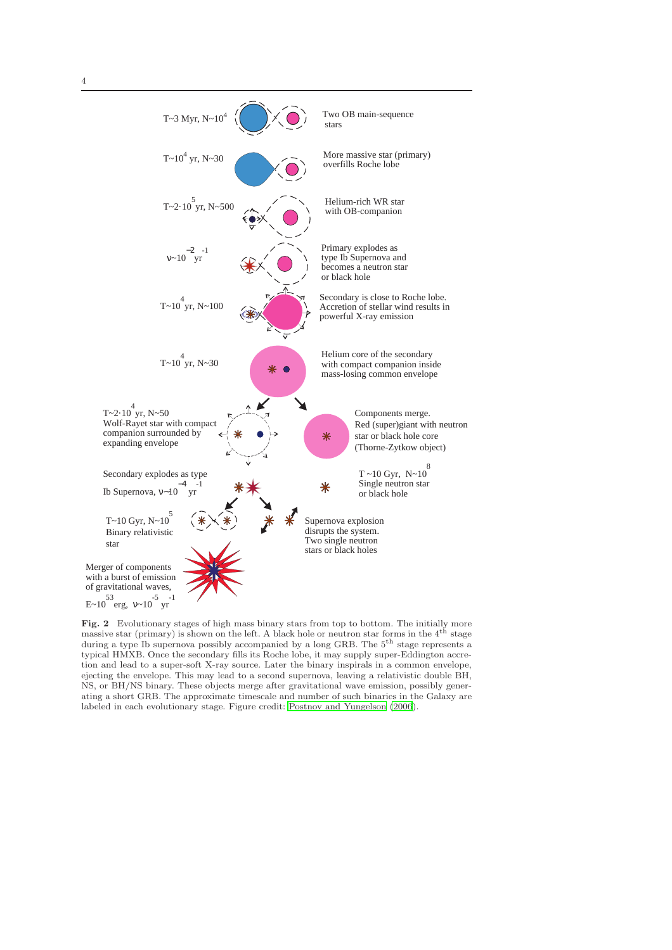

<span id="page-3-0"></span>Fig. 2 Evolutionary stages of high mass binary stars from top to bottom. The initially more massive star (primary) is shown on the left. A black hole or neutron star forms in the  $4<sup>th</sup>$  stage during a type Ib supernova possibly accompanied by a long GRB. The 5<sup>th</sup> stage represents a typical HMXB. Once the secondary fills its Roche lobe, it may supply super-Eddington accretion and lead to a super-soft X-ray source. Later the binary inspirals in a common envelope, ejecting the envelope. This may lead to a second supernova, leaving a relativistic double BH, NS, or BH/NS binary. These objects merge after gravitational wave emission, possibly generating a short GRB. The approximate timescale and number of such binaries in the Galaxy are labeled in each evolutionary stage. Figure credit: Postnov [and Yungelson \(2006](#page-24-1)).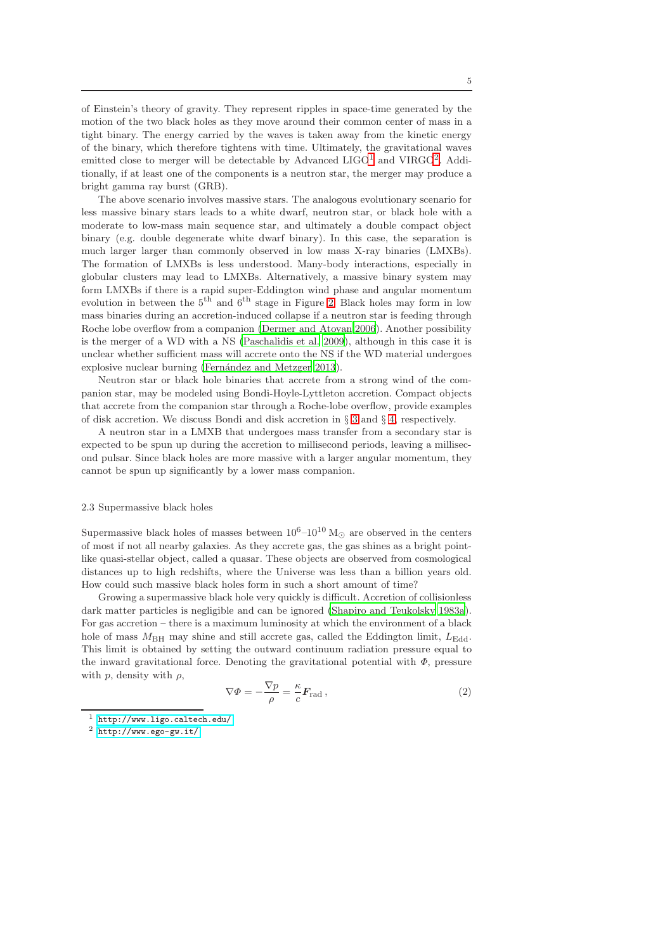of Einstein's theory of gravity. They represent ripples in space-time generated by the motion of the two black holes as they move around their common center of mass in a tight binary. The energy carried by the waves is taken away from the kinetic energy of the binary, which therefore tightens with time. Ultimately, the gravitational waves emitted close to merger will be detectable by Advanced  $LIGO<sup>1</sup>$  $LIGO<sup>1</sup>$  $LIGO<sup>1</sup>$  and  $VIRGO<sup>2</sup>$  $VIRGO<sup>2</sup>$  $VIRGO<sup>2</sup>$ . Additionally, if at least one of the components is a neutron star, the merger may produce a bright gamma ray burst (GRB).

The above scenario involves massive stars. The analogous evolutionary scenario for less massive binary stars leads to a white dwarf, neutron star, or black hole with a moderate to low-mass main sequence star, and ultimately a double compact object binary (e.g. double degenerate white dwarf binary). In this case, the separation is much larger larger than commonly observed in low mass X-ray binaries (LMXBs). The formation of LMXBs is less understood. Many-body interactions, especially in globular clusters may lead to LMXBs. Alternatively, a massive binary system may form LMXBs if there is a rapid super-Eddington wind phase and angular momentum evolution in between the  $5^{th}$  and  $6^{th}$  stage in Figure [2.](#page-3-0) Black holes may form in low mass binaries during an accretion-induced collapse if a neutron star is feeding through Roche lobe overflow from a companion [\(Dermer and Atoyan 2006\)](#page-21-1). Another possibility is the merger of a WD with a NS [\(Paschalidis et al. 2009\)](#page-24-2), although in this case it is unclear whether sufficient mass will accrete onto the NS if the WD material undergoes explosive nuclear burning (Fernández and Metzger 2013).

Neutron star or black hole binaries that accrete from a strong wind of the companion star, may be modeled using Bondi-Hoyle-Lyttleton accretion. Compact objects that accrete from the companion star through a Roche-lobe overflow, provide examples of disk accretion. We discuss Bondi and disk accretion in § [3](#page-8-0) and § [4,](#page-12-0) respectively.

A neutron star in a LMXB that undergoes mass transfer from a secondary star is expected to be spun up during the accretion to millisecond periods, leaving a millisecond pulsar. Since black holes are more massive with a larger angular momentum, they cannot be spun up significantly by a lower mass companion.

#### <span id="page-4-3"></span>2.3 Supermassive black holes

Supermassive black holes of masses between  $10^6$ – $10^{10}$  M<sub>☉</sub> are observed in the centers of most if not all nearby galaxies. As they accrete gas, the gas shines as a bright pointlike quasi-stellar object, called a quasar. These objects are observed from cosmological distances up to high redshifts, where the Universe was less than a billion years old. How could such massive black holes form in such a short amount of time?

Growing a supermassive black hole very quickly is difficult. Accretion of collisionless dark matter particles is negligible and can be ignored [\(Shapiro and Teukolsky 1983a](#page-25-2)). For gas accretion – there is a maximum luminosity at which the environment of a black hole of mass  $M_{\rm BH}$  may shine and still accrete gas, called the Eddington limit,  $L_{\rm Edd}$ . This limit is obtained by setting the outward continuum radiation pressure equal to the inward gravitational force. Denoting the gravitational potential with  $\Phi$ , pressure with  $p$ , density with  $\rho$ ,

<span id="page-4-2"></span>
$$
\nabla \Phi = -\frac{\nabla p}{\rho} = \frac{\kappa}{c} \mathbf{F}_{\text{rad}} \,, \tag{2}
$$

<http://www.ligo.caltech.edu/>

<span id="page-4-1"></span><span id="page-4-0"></span> $<sup>2</sup>$  <http://www.ego-gw.it/></sup>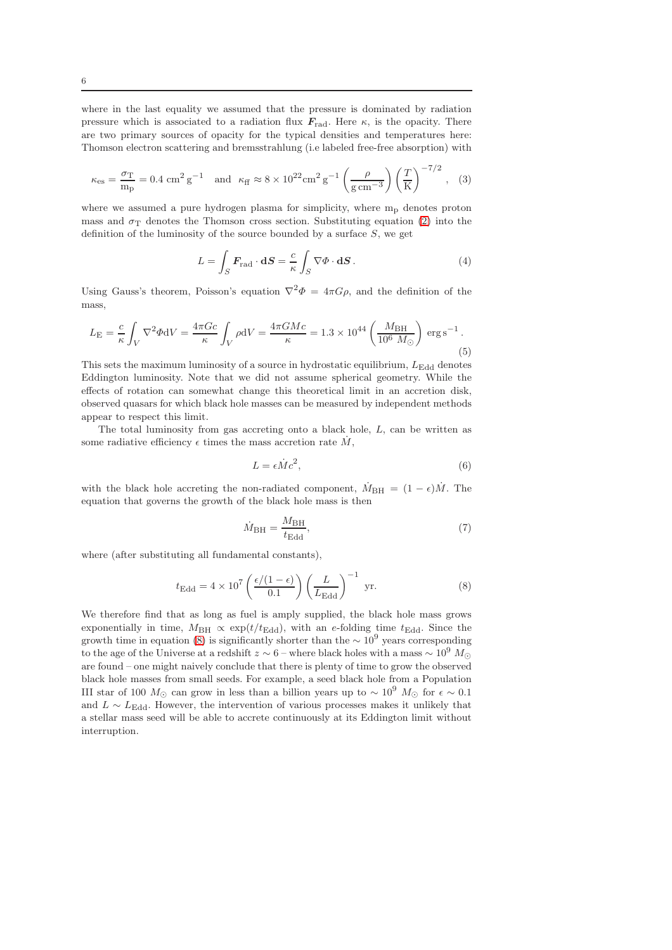where in the last equality we assumed that the pressure is dominated by radiation pressure which is associated to a radiation flux  $\mathbf{F}_{\text{rad}}$ . Here  $\kappa$ , is the opacity. There are two primary sources of opacity for the typical densities and temperatures here: Thomson electron scattering and bremsstrahlung (i.e labeled free-free absorption) with

<span id="page-5-2"></span>
$$
\kappa_{\rm es} = \frac{\sigma_{\rm T}}{m_{\rm p}} = 0.4 \text{ cm}^2 \text{ g}^{-1} \quad \text{and} \quad \kappa_{\rm ff} \approx 8 \times 10^{22} \text{ cm}^2 \text{ g}^{-1} \left(\frac{\rho}{\text{g cm}^{-3}}\right) \left(\frac{T}{\text{K}}\right)^{-7/2}, \quad (3)
$$

where we assumed a pure hydrogen plasma for simplicity, where mp denotes proton mass and  $\sigma_{\rm T}$  denotes the Thomson cross section. Substituting equation [\(2\)](#page-4-2) into the definition of the luminosity of the source bounded by a surface  $S$ , we get

$$
L = \int_{S} \mathbf{F}_{\text{rad}} \cdot \mathbf{d}S = \frac{c}{\kappa} \int_{S} \nabla \Phi \cdot \mathbf{d}S. \tag{4}
$$

Using Gauss's theorem, Poisson's equation  $\nabla^2 \Phi = 4\pi G \rho$ , and the definition of the mass,

<span id="page-5-1"></span>
$$
L_{\rm E} = \frac{c}{\kappa} \int_V \nabla^2 \Phi \, \mathrm{d}V = \frac{4\pi G c}{\kappa} \int_V \rho \, \mathrm{d}V = \frac{4\pi G Mc}{\kappa} = 1.3 \times 10^{44} \left(\frac{M_{\rm BH}}{10^6 \, M_{\odot}}\right) \, \text{erg s}^{-1} \,. \tag{5}
$$

This sets the maximum luminosity of a source in hydrostatic equilibrium,  $L_{\text{Edd}}$  denotes Eddington luminosity. Note that we did not assume spherical geometry. While the effects of rotation can somewhat change this theoretical limit in an accretion disk, observed quasars for which black hole masses can be measured by independent methods appear to respect this limit.

The total luminosity from gas accreting onto a black hole, L, can be written as some radiative efficiency  $\epsilon$  times the mass accretion rate  $\dot{M}$ ,

$$
L = \epsilon \dot{M} c^2,\tag{6}
$$

with the black hole accreting the non-radiated component,  $\dot{M}_{\text{BH}} = (1 - \epsilon)\dot{M}$ . The equation that governs the growth of the black hole mass is then

$$
\dot{M}_{\rm BH} = \frac{M_{\rm BH}}{t_{\rm Edd}},\tag{7}
$$

where (after substituting all fundamental constants),

<span id="page-5-0"></span>
$$
t_{\rm Edd} = 4 \times 10^7 \left( \frac{\epsilon/(1-\epsilon)}{0.1} \right) \left( \frac{L}{L_{\rm Edd}} \right)^{-1} \text{ yr.}
$$
 (8)

We therefore find that as long as fuel is amply supplied, the black hole mass grows exponentially in time,  $M_{\text{BH}} \propto \exp(t/t_{\text{Edd}})$ , with an e-folding time  $t_{\text{Edd}}$ . Since the growth time in equation [\(8\)](#page-5-0) is significantly shorter than the  $\sim 10^9$  years corresponding to the age of the Universe at a redshift  $z \sim 6$  – where black holes with a mass  $\sim 10^9$  M<sub>☉</sub> are found – one might naively conclude that there is plenty of time to grow the observed black hole masses from small seeds. For example, a seed black hole from a Population III star of 100  $M_{\odot}$  can grow in less than a billion years up to  $\sim 10^9$   $M_{\odot}$  for  $\epsilon \sim 0.1$ and  $L \sim L_{\text{Edd}}$ . However, the intervention of various processes makes it unlikely that a stellar mass seed will be able to accrete continuously at its Eddington limit without interruption.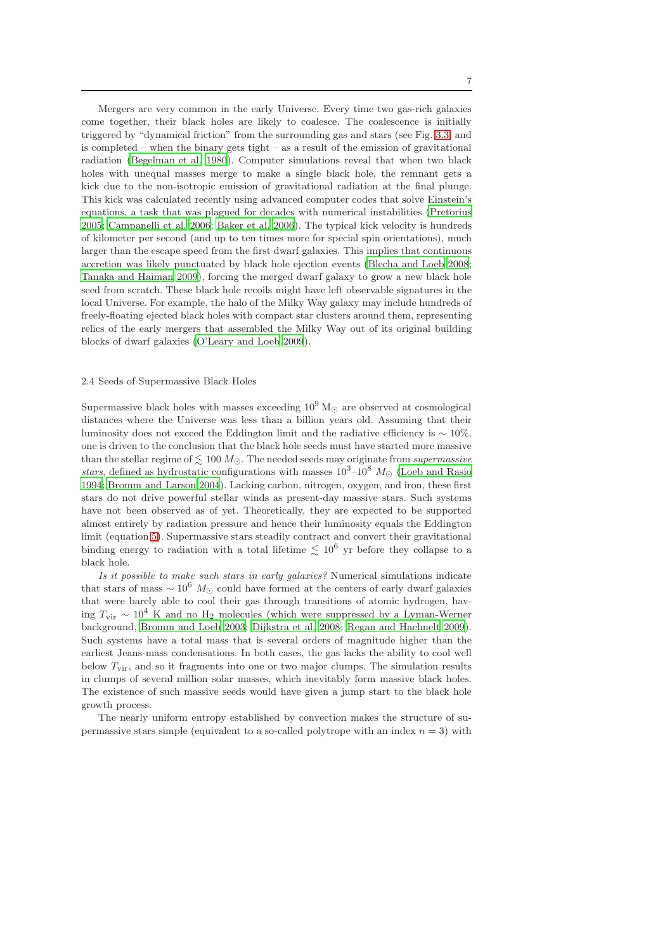Mergers are very common in the early Universe. Every time two gas-rich galaxies come together, their black holes are likely to coalesce. The coalescence is initially triggered by "dynamical friction" from the surrounding gas and stars (see Fig. [3.3,](#page-9-0) and is completed – when the binary gets tight – as a result of the emission of gravitational radiation [\(Begelman et al. 1980](#page-20-1)). Computer simulations reveal that when two black holes with unequal masses merge to make a single black hole, the remnant gets a kick due to the non-isotropic emission of gravitational radiation at the final plunge. This kick was calculated recently using advanced computer codes that solve Einstein's equations, a task that was plagued for decades with numerical instabilities [\(Pretorius](#page-24-3) [2005](#page-24-3); [Campanelli et al. 2006](#page-20-2); [Baker et al. 2006](#page-19-0)). The typical kick velocity is hundreds of kilometer per second (and up to ten times more for special spin orientations), much larger than the escape speed from the first dwarf galaxies. This implies that continuous accretion was likely punctuated by black hole ejection events [\(Blecha and Loeb 2008](#page-20-3); [Tanaka and Haiman 2009](#page-25-3)), forcing the merged dwarf galaxy to grow a new black hole seed from scratch. These black hole recoils might have left observable signatures in the local Universe. For example, the halo of the Milky Way galaxy may include hundreds of freely-floating ejected black holes with compact star clusters around them, representing relics of the early mergers that assembled the Milky Way out of its original building blocks of dwarf galaxies [\(O'Leary and Loeb 2009](#page-24-4)).

#### <span id="page-6-0"></span>2.4 Seeds of Supermassive Black Holes

Supermassive black holes with masses exceeding  $10^9$  M<sub>☉</sub> are observed at cosmological distances where the Universe was less than a billion years old. Assuming that their luminosity does not exceed the Eddington limit and the radiative efficiency is  $\sim 10\%$ , one is driven to the conclusion that the black hole seeds must have started more massive than the stellar regime of  $\lesssim 100 M_{\odot}$ . The needed seeds may originate from supermassive stars, defined as hydrostatic configurations with masses  $10^3$ – $10^8$   $M_{\odot}$  [\(Loeb and Rasio](#page-23-2) [1994](#page-23-2); [Bromm and Larson 2004\)](#page-20-4). Lacking carbon, nitrogen, oxygen, and iron, these first stars do not drive powerful stellar winds as present-day massive stars. Such systems have not been observed as of yet. Theoretically, they are expected to be supported almost entirely by radiation pressure and hence their luminosity equals the Eddington limit (equation [5\)](#page-5-1). Supermassive stars steadily contract and convert their gravitational binding energy to radiation with a total lifetime  $\lesssim 10^6$  yr before they collapse to a black hole.

Is it possible to make such stars in early galaxies? Numerical simulations indicate that stars of mass  $\sim 10^6$  M<sub>☉</sub> could have formed at the centers of early dwarf galaxies that were barely able to cool their gas through transitions of atomic hydrogen, having  $T_{\rm vir} \sim 10^4$  K and no H<sub>2</sub> molecules (which were suppressed by a Lyman-Werner background, [Bromm and Loeb 2003](#page-20-5); [Dijkstra et al. 2008](#page-21-3); Regan [and Haehnelt 2009](#page-24-5)). Such systems have a total mass that is several orders of magnitude higher than the earliest Jeans-mass condensations. In both cases, the gas lacks the ability to cool well below  $T_{\text{vir}}$ , and so it fragments into one or two major clumps. The simulation results in clumps of several million solar masses, which inevitably form massive black holes. The existence of such massive seeds would have given a jump start to the black hole growth process.

The nearly uniform entropy established by convection makes the structure of supermassive stars simple (equivalent to a so-called polytrope with an index  $n = 3$ ) with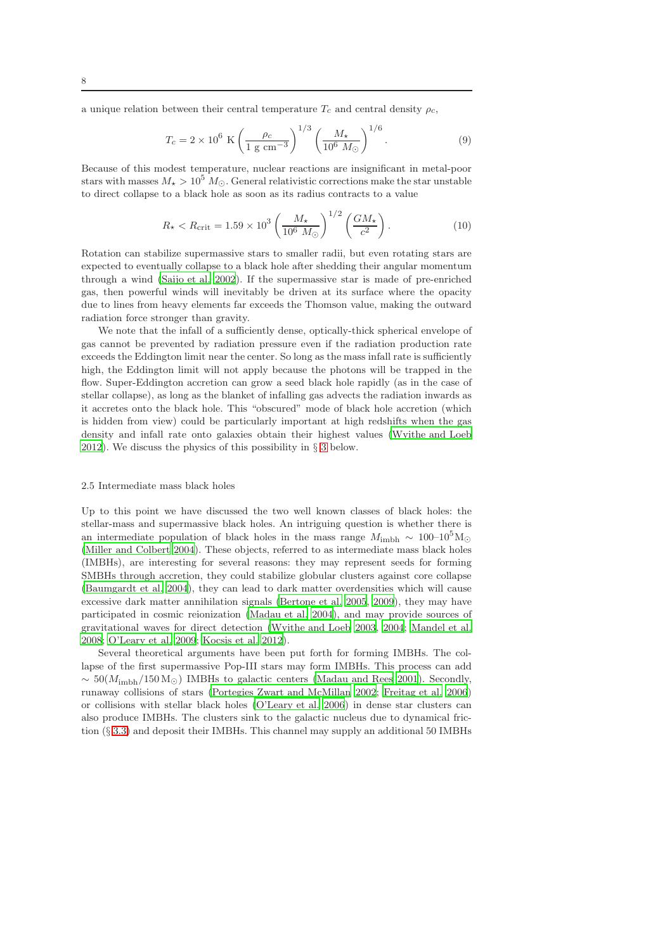a unique relation between their central temperature  $T_c$  and central density  $\rho_c$ ,

$$
T_c = 2 \times 10^6 \text{ K} \left( \frac{\rho_c}{1 \text{ g cm}^{-3}} \right)^{1/3} \left( \frac{M_{\star}}{10^6 \text{ M}_{\odot}} \right)^{1/6}.
$$
 (9)

Because of this modest temperature, nuclear reactions are insignificant in metal-poor stars with masses  $M_{\star} > 10^5 M_{\odot}$ . General relativistic corrections make the star unstable to direct collapse to a black hole as soon as its radius contracts to a value

$$
R_{\star} < R_{\rm crit} = 1.59 \times 10^3 \left(\frac{M_{\star}}{10^6 \, M_{\odot}}\right)^{1/2} \left(\frac{GM_{\star}}{c^2}\right). \tag{10}
$$

Rotation can stabilize supermassive stars to smaller radii, but even rotating stars are expected to eventually collapse to a black hole after shedding their angular momentum through a wind [\(Saijo et al. 2002\)](#page-25-4). If the supermassive star is made of pre-enriched gas, then powerful winds will inevitably be driven at its surface where the opacity due to lines from heavy elements far exceeds the Thomson value, making the outward radiation force stronger than gravity.

We note that the infall of a sufficiently dense, optically-thick spherical envelope of gas cannot be prevented by radiation pressure even if the radiation production rate exceeds the Eddington limit near the center. So long as the mass infall rate is sufficiently high, the Eddington limit will not apply because the photons will be trapped in the flow. Super-Eddington accretion can grow a seed black hole rapidly (as in the case of stellar collapse), as long as the blanket of infalling gas advects the radiation inwards as it accretes onto the black hole. This "obscured" mode of black hole accretion (which is hidden from view) could be particularly important at high redshifts when the gas density and infall rate onto galaxies obtain their highest values [\(Wyithe and Loeb](#page-26-0) [2012](#page-26-0)). We discuss the physics of this possibility in § [3](#page-8-0) below.

# 2.5 Intermediate mass black holes

Up to this point we have discussed the two well known classes of black holes: the stellar-mass and supermassive black holes. An intriguing question is whether there is an intermediate population of black holes in the mass range  $M_{\text{imbh}} \sim 100-10^5 M_{\odot}$ [\(Miller and Colbert 2004](#page-23-3)). These objects, referred to as intermediate mass black holes (IMBHs), are interesting for several reasons: they may represent seeds for forming SMBHs through accretion, they could stabilize globular clusters against core collapse [\(Baumgardt et al. 2004](#page-19-1)), they can lead to dark matter overdensities which will cause excessive dark matter annihilation signals [\(Bertone et al.](#page-20-6) [2005,](#page-20-6) [2009\)](#page-20-7), they may have participated in cosmic reionization [\(Madau et al. 2004\)](#page-23-4), and may provide sources of gravitational waves for direct detection [\(Wyithe and Loeb 2003,](#page-26-1) [2004;](#page-26-2) [Mandel et al.](#page-23-5) [2008](#page-23-5); [O'Leary et al. 2009;](#page-24-6) [Kocsis et al. 2012](#page-22-2)).

Several theoretical arguments have been put forth for forming IMBHs. The collapse of the first supermassive Pop-III stars may form IMBHs. This process can add  $\sim 50(M_{\text{imbh}}/150 \,\text{M}_{\odot})$  IMBHs to galactic centers [\(Madau and Rees 2001](#page-23-6)). Secondly, runaway collisions of stars [\(Portegies Zwart and McMillan 2002](#page-24-7); [Freitag et al. 2006](#page-21-4)) or collisions with stellar black holes [\(O'Leary et al. 2006](#page-24-8)) in dense star clusters can also produce IMBHs. The clusters sink to the galactic nucleus due to dynamical friction (§ [3.3\)](#page-9-0) and deposit their IMBHs. This channel may supply an additional 50 IMBHs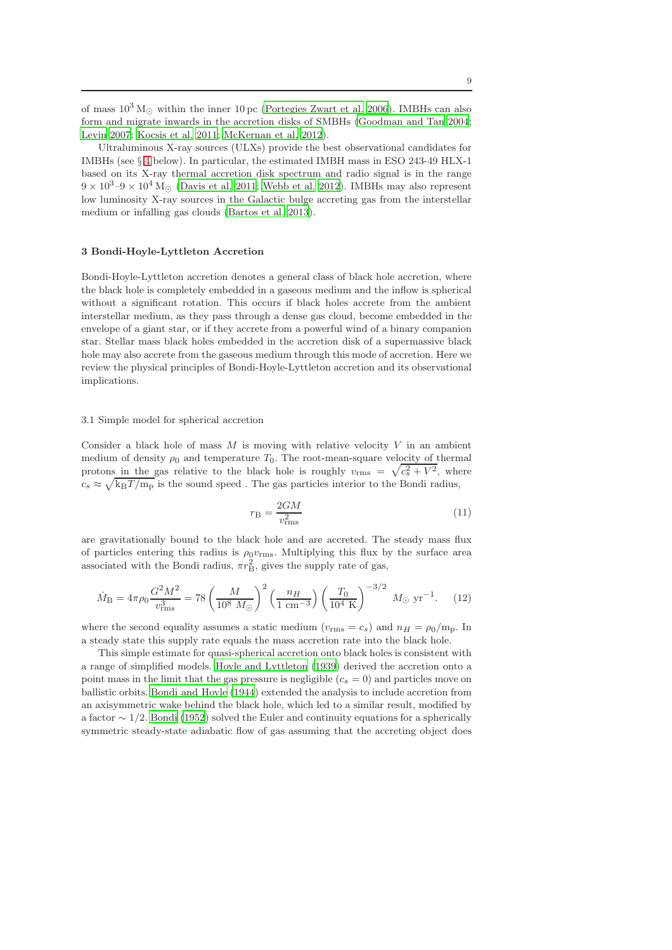of mass  $10^3$  M<sub> $\odot$ </sub> within the inner 10 pc [\(Portegies Zwart et al. 2006\)](#page-24-9). IMBHs can also form and migrate inwards in the accretion disks of SMBHs [\(Goodman and Tan 2004](#page-21-5); [Levin 2007;](#page-23-7) [Kocsis et al. 2011](#page-22-3); [McKernan et al. 2012](#page-23-8)).

Ultraluminous X-ray sources (ULXs) provide the best observational candidates for IMBHs (see § [4](#page-12-0) below). In particular, the estimated IMBH mass in ESO 243-49 HLX-1 based on its X-ray thermal accretion disk spectrum and radio signal is in the range  $9 \times 10^3$ – $9 \times 10^4$  M<sub> $\odot$ </sub> [\(Davis et al. 2011](#page-21-6); [Webb et al. 2012\)](#page-26-3). IMBHs may also represent low luminosity X-ray sources in the Galactic bulge accreting gas from the interstellar medium or infalling gas clouds [\(Bartos et al. 2013](#page-19-2)).

# <span id="page-8-0"></span>3 Bondi-Hoyle-Lyttleton Accretion

Bondi-Hoyle-Lyttleton accretion denotes a general class of black hole accretion, where the black hole is completely embedded in a gaseous medium and the inflow is spherical without a significant rotation. This occurs if black holes accrete from the ambient interstellar medium, as they pass through a dense gas cloud, become embedded in the envelope of a giant star, or if they accrete from a powerful wind of a binary companion star. Stellar mass black holes embedded in the accretion disk of a supermassive black hole may also accrete from the gaseous medium through this mode of accretion. Here we review the physical principles of Bondi-Hoyle-Lyttleton accretion and its observational implications.

### 3.1 Simple model for spherical accretion

Consider a black hole of mass  $M$  is moving with relative velocity  $V$  in an ambient medium of density  $\rho_0$  and temperature  $T_0$ . The root-mean-square velocity of thermal protons in the gas relative to the black hole is roughly  $v_{\rm rms} = \sqrt{c_s^2 + V^2}$ , where  $c_s \approx \sqrt{k_B T / m_P}$  is the sound speed. The gas particles interior to the Bondi radius,

<span id="page-8-2"></span>
$$
r_{\rm B} = \frac{2GM}{v_{\rm rms}^2} \tag{11}
$$

are gravitationally bound to the black hole and are accreted. The steady mass flux of particles entering this radius is  $\rho_0 v_{\rm rms}$ . Multiplying this flux by the surface area associated with the Bondi radius,  $\pi r_{\rm B}^2$ , gives the supply rate of gas,

<span id="page-8-1"></span>
$$
\dot{M}_{\rm B} = 4\pi\rho_0 \frac{G^2 M^2}{v_{\rm rms}^3} = 78 \left(\frac{M}{10^8 \ M_{\odot}}\right)^2 \left(\frac{n_H}{1 \ \rm cm^{-3}}\right) \left(\frac{T_0}{10^4 \ \rm K}\right)^{-3/2} \ M_{\odot} \ \rm yr^{-1}.
$$
 (12)

where the second equality assumes a static medium ( $v_{\text{rms}} = c_s$ ) and  $n_H = \rho_0/m_p$ . In a steady state this supply rate equals the mass accretion rate into the black hole.

This simple estimate for quasi-spherical accretion onto black holes is consistent with a range of simplified models. [Hoyle and Lyttleton \(1939](#page-22-4)) derived the accretion onto a point mass in the limit that the gas pressure is negligible  $(c_s = 0)$  and particles move on ballistic orbits. [Bondi and Hoyle \(1944](#page-20-8)) extended the analysis to include accretion from an axisymmetric wake behind the black hole, which led to a similar result, modified by a factor ∼ 1/2. [Bondi \(1952](#page-20-9)) solved the Euler and continuity equations for a spherically symmetric steady-state adiabatic flow of gas assuming that the accreting object does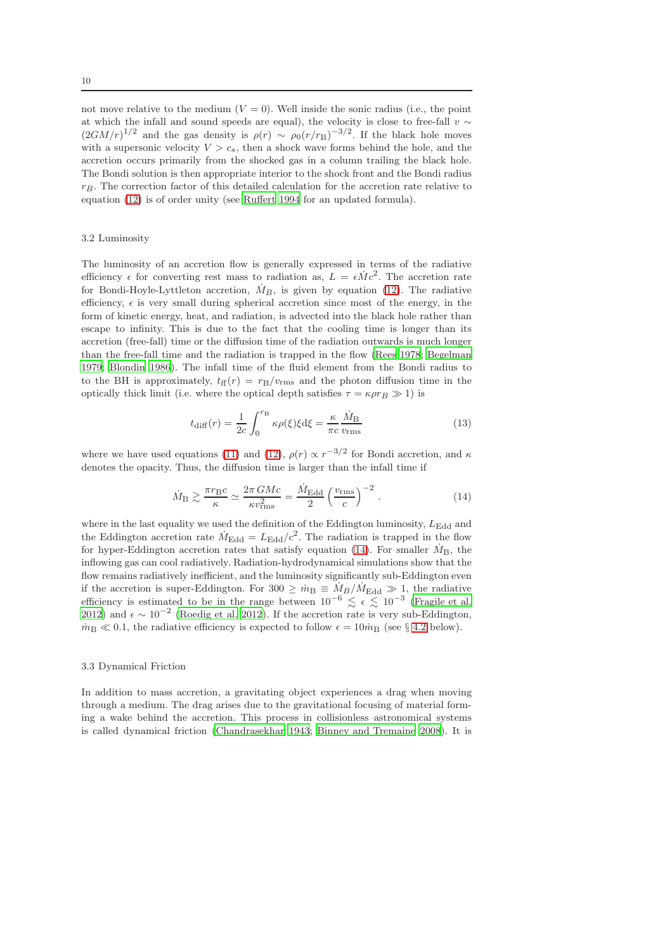not move relative to the medium  $(V = 0)$ . Well inside the sonic radius (i.e., the point at which the infall and sound speeds are equal), the velocity is close to free-fall  $v \sim$  $(2GM/r)^{1/2}$  and the gas density is  $\rho(r) \sim \rho_0(r/r_B)^{-3/2}$ . If the black hole moves with a supersonic velocity  $V > c_s$ , then a shock wave forms behind the hole, and the accretion occurs primarily from the shocked gas in a column trailing the black hole. The Bondi solution is then appropriate interior to the shock front and the Bondi radius  $r_B$ . The correction factor of this detailed calculation for the accretion rate relative to equation [\(12\)](#page-8-1) is of order unity (see [Ruffert 1994](#page-25-5) for an updated formula).

### 3.2 Luminosity

The luminosity of an accretion flow is generally expressed in terms of the radiative efficiency  $\epsilon$  for converting rest mass to radiation as,  $L = \epsilon \dot{M} c^2$ . The accretion rate for Bondi-Hoyle-Lyttleton accretion,  $\dot{M}_B$ , is given by equation [\(12\)](#page-8-1). The radiative efficiency,  $\epsilon$  is very small during spherical accretion since most of the energy, in the form of kinetic energy, heat, and radiation, is advected into the black hole rather than escape to infinity. This is due to the fact that the cooling time is longer than its accretion (free-fall) time or the diffusion time of the radiation outwards is much longer than the free-fall time and the radiation is trapped in the flow [\(Rees 1978](#page-24-10); [Begelman](#page-20-10) [1979](#page-20-10); [Blondin 1986](#page-20-11)). The infall time of the fluid element from the Bondi radius to to the BH is approximately,  $t_{\text{ff}}(r) = r_{\text{B}}/v_{\text{rms}}$  and the photon diffusion time in the optically thick limit (i.e. where the optical depth satisfies  $\tau = \kappa \rho r_B \gg 1$ ) is

<span id="page-9-1"></span>
$$
t_{\text{diff}}(r) = \frac{1}{2c} \int_0^{r_B} \kappa \rho(\xi) \xi \, \mathrm{d}\xi = \frac{\kappa}{\pi c} \frac{\dot{M}_{\text{B}}}{v_{\text{rms}}} \tag{13}
$$

where we have used equations [\(11\)](#page-8-2) and [\(12\)](#page-8-1),  $\rho(r) \propto r^{-3/2}$  for Bondi accretion, and  $\kappa$ denotes the opacity. Thus, the diffusion time is larger than the infall time if

$$
\dot{M}_{\rm B} \gtrsim \frac{\pi r_{\rm B} c}{\kappa} \simeq \frac{2\pi G M c}{\kappa v_{\rm rms}^2} = \frac{\dot{M}_{\rm Edd}}{2} \left(\frac{v_{\rm rms}}{c}\right)^{-2} . \tag{14}
$$

where in the last equality we used the definition of the Eddington luminosity,  $L_{\text{Edd}}$  and the Eddington accretion rate  $\dot{M}_{\text{Edd}} = L_{\text{Edd}}/c^2$ . The radiation is trapped in the flow for hyper-Eddington accretion rates that satisfy equation [\(14\)](#page-9-1). For smaller  $\dot{M}_{\rm B}$ , the inflowing gas can cool radiatively. Radiation-hydrodynamical simulations show that the flow remains radiatively inefficient, and the luminosity significantly sub-Eddington even if the accretion is super-Eddington. For 300  $\geq \dot{m}_{\rm B} \equiv \dot{M}_{B}/\dot{M}_{\rm Edd} \gg 1$ , the radiative efficiency is estimated to be in the range between  $10^{-6} \leq \epsilon \leq 10^{-3}$  [\(Fragile et al.](#page-21-7) [2012](#page-21-7)) and  $\epsilon \sim 10^{-2}$  [\(Roedig et al. 2012](#page-24-11)). If the accretion rate is very sub-Eddington,  $m_{\rm B} \ll 0.1$ , the radiative efficiency is expected to follow  $\epsilon = 10 \dot{m}_{\rm B}$  (see § [4.2](#page-14-0) below).

#### <span id="page-9-0"></span>3.3 Dynamical Friction

In addition to mass accretion, a gravitating object experiences a drag when moving through a medium. The drag arises due to the gravitational focusing of material forming a wake behind the accretion. This process in collisionless astronomical systems is called dynamical friction [\(Chandrasekhar 1943](#page-20-12); [Binney and Tremaine 2008](#page-20-13)). It is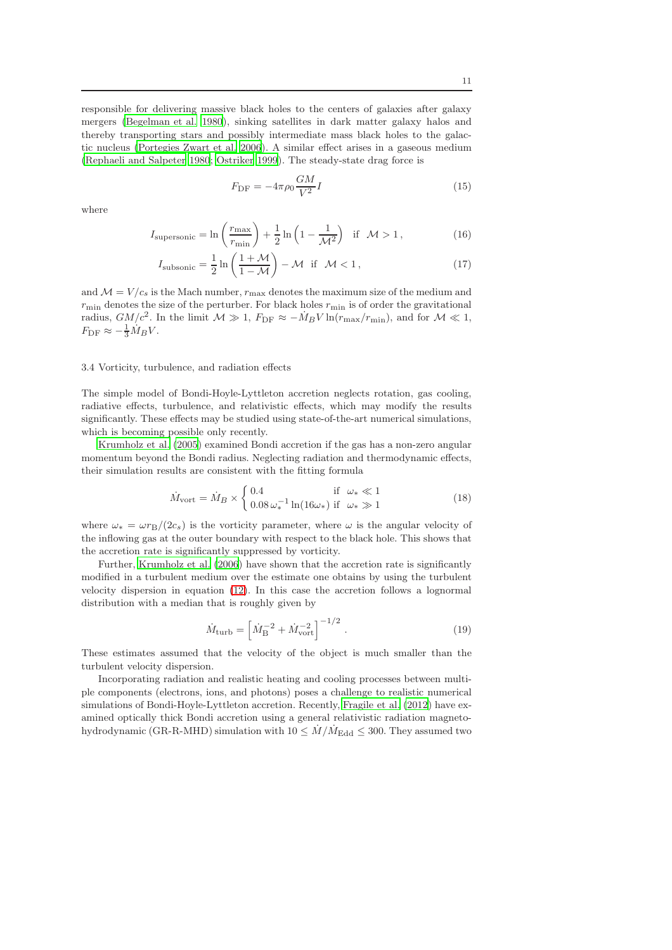responsible for delivering massive black holes to the centers of galaxies after galaxy mergers [\(Begelman et al. 1980](#page-20-1)), sinking satellites in dark matter galaxy halos and thereby transporting stars and possibly intermediate mass black holes to the galactic nucleus [\(Portegies Zwart et al. 2006](#page-24-9)). A similar effect arises in a gaseous medium [\(Rephaeli and Salpeter 1980](#page-24-12); [Ostriker 1999](#page-24-13)). The steady-state drag force is

$$
F_{\rm DF} = -4\pi\rho_0 \frac{GM}{V^2} I \tag{15}
$$

where

$$
I_{\text{supersonic}} = \ln\left(\frac{r_{\text{max}}}{r_{\text{min}}}\right) + \frac{1}{2}\ln\left(1 - \frac{1}{\mathcal{M}^2}\right) \quad \text{if} \quad \mathcal{M} > 1\,,\tag{16}
$$

$$
I_{\text{subsonic}} = \frac{1}{2} \ln \left( \frac{1 + \mathcal{M}}{1 - \mathcal{M}} \right) - \mathcal{M} \quad \text{if} \quad \mathcal{M} < 1 \,, \tag{17}
$$

and  $\mathcal{M} = V/c_s$  is the Mach number,  $r_{\text{max}}$  denotes the maximum size of the medium and  $r_{\text{min}}$  denotes the size of the perturber. For black holes  $r_{\text{min}}$  is of order the gravitational radius,  $GM/c^2$ . In the limit  $M \gg 1$ ,  $F_{\rm DF} \approx -\dot{M}_B V \ln(r_{\rm max}/r_{\rm min})$ , and for  $M \ll 1$ ,  $F_{\rm DF} \approx -\frac{1}{3}\dot{M}_B V.$ 

### 3.4 Vorticity, turbulence, and radiation effects

The simple model of Bondi-Hoyle-Lyttleton accretion neglects rotation, gas cooling, radiative effects, turbulence, and relativistic effects, which may modify the results significantly. These effects may be studied using state-of-the-art numerical simulations, which is becoming possible only recently.

[Krumholz et al. \(2005](#page-22-5)) examined Bondi accretion if the gas has a non-zero angular momentum beyond the Bondi radius. Neglecting radiation and thermodynamic effects, their simulation results are consistent with the fitting formula

$$
\dot{M}_{\text{vort}} = \dot{M}_B \times \begin{cases} 0.4 & \text{if } \omega_* \ll 1\\ 0.08 \,\omega_*^{-1} \ln(16\omega_*) & \text{if } \omega_* \gg 1 \end{cases} \tag{18}
$$

where  $\omega_* = \omega r_B/(2c_s)$  is the vorticity parameter, where  $\omega$  is the angular velocity of the inflowing gas at the outer boundary with respect to the black hole. This shows that the accretion rate is significantly suppressed by vorticity.

Further, [Krumholz et al. \(2006](#page-23-9)) have shown that the accretion rate is significantly modified in a turbulent medium over the estimate one obtains by using the turbulent velocity dispersion in equation [\(12\)](#page-8-1). In this case the accretion follows a lognormal distribution with a median that is roughly given by

$$
\dot{M}_{\text{turb}} = \left[ \dot{M}_{\text{B}}^{-2} + \dot{M}_{\text{vort}}^{-2} \right]^{-1/2} . \tag{19}
$$

These estimates assumed that the velocity of the object is much smaller than the turbulent velocity dispersion.

Incorporating radiation and realistic heating and cooling processes between multiple components (electrons, ions, and photons) poses a challenge to realistic numerical simulations of Bondi-Hoyle-Lyttleton accretion. Recently, [Fragile et al. \(2012\)](#page-21-7) have examined optically thick Bondi accretion using a general relativistic radiation magnetohydrodynamic (GR-R-MHD) simulation with  $10 \leq \dot M/\dot M_{\rm Edd} \leq 300$ . They assumed two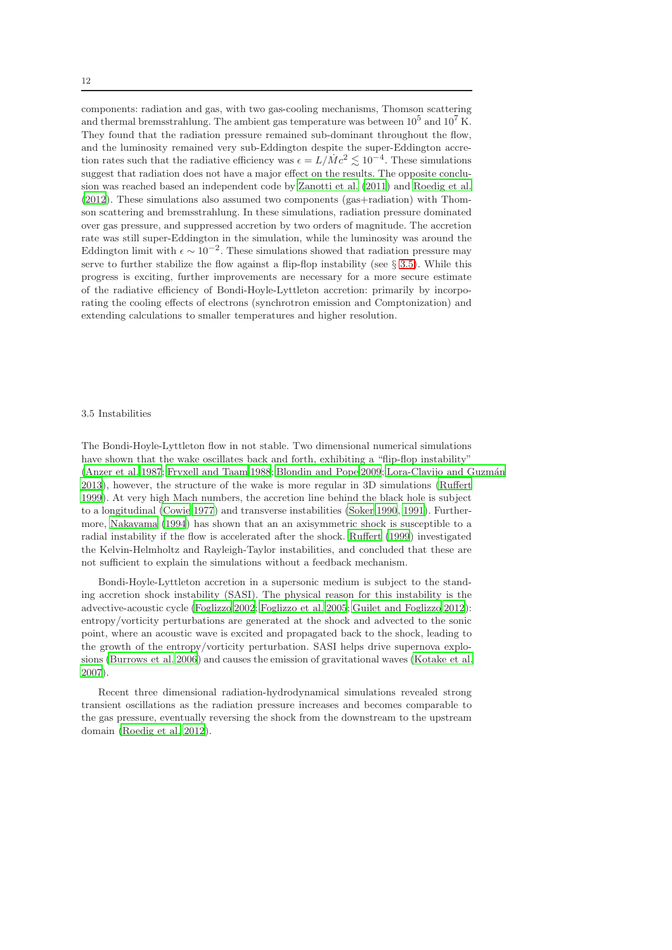components: radiation and gas, with two gas-cooling mechanisms, Thomson scattering and thermal bremsstrahlung. The ambient gas temperature was between  $10^5$  and  $10^7$  K. They found that the radiation pressure remained sub-dominant throughout the flow, and the luminosity remained very sub-Eddington despite the super-Eddington accretion rates such that the radiative efficiency was  $\epsilon = L/\dot{M}c^2 \lesssim 10^{-4}$ . These simulations suggest that radiation does not have a major effect on the results. The opposite conclusion was reached based an independent code by [Zanotti et al. \(2011](#page-26-4)) and [Roedig et al.](#page-24-11)  $(2012)$ . These simulations also assumed two components  $(gas+radiation)$  with Thomson scattering and bremsstrahlung. In these simulations, radiation pressure dominated over gas pressure, and suppressed accretion by two orders of magnitude. The accretion rate was still super-Eddington in the simulation, while the luminosity was around the Eddington limit with  $\epsilon \sim 10^{-2}$ . These simulations showed that radiation pressure may serve to further stabilize the flow against a flip-flop instability (see  $\S 3.5$ ). While this progress is exciting, further improvements are necessary for a more secure estimate of the radiative efficiency of Bondi-Hoyle-Lyttleton accretion: primarily by incorporating the cooling effects of electrons (synchrotron emission and Comptonization) and extending calculations to smaller temperatures and higher resolution.

### <span id="page-11-0"></span>3.5 Instabilities

The Bondi-Hoyle-Lyttleton flow in not stable. Two dimensional numerical simulations have shown that the wake oscillates back and forth, exhibiting a "flip-flop instability" [\(Anzer et al. 1987](#page-19-3); [Fryxell and Taam 1988](#page-21-8); [Blondin and Pope 2009;](#page-20-14) Lora-Clavijo and Guzmán [2013](#page-23-10)), however, the structure of the wake is more regular in 3D simulations [\(Ruffert](#page-25-6) [1999](#page-25-6)). At very high Mach numbers, the accretion line behind the black hole is subject to a longitudinal [\(Cowie 1977](#page-21-9)) and transverse instabilities [\(Soker 1990,](#page-25-7) [1991](#page-25-8)). Furthermore, [Nakayama \(1994\)](#page-24-14) has shown that an an axisymmetric shock is susceptible to a radial instability if the flow is accelerated after the shock. [Ruffert \(1999](#page-25-6)) investigated the Kelvin-Helmholtz and Rayleigh-Taylor instabilities, and concluded that these are not sufficient to explain the simulations without a feedback mechanism.

Bondi-Hoyle-Lyttleton accretion in a supersonic medium is subject to the standing accretion shock instability (SASI). The physical reason for this instability is the advective-acoustic cycle [\(Foglizzo 2002;](#page-21-10) [Foglizzo et al. 2005](#page-21-11); [Guilet and Foglizzo 2012](#page-22-6)): entropy/vorticity perturbations are generated at the shock and advected to the sonic point, where an acoustic wave is excited and propagated back to the shock, leading to the growth of the entropy/vorticity perturbation. SASI helps drive supernova explosions [\(Burrows et al. 2006](#page-20-15)) and causes the emission of gravitational waves [\(Kotake et al.](#page-22-7) [2007](#page-22-7)).

Recent three dimensional radiation-hydrodynamical simulations revealed strong transient oscillations as the radiation pressure increases and becomes comparable to the gas pressure, eventually reversing the shock from the downstream to the upstream domain [\(Roedig et al. 2012](#page-24-11)).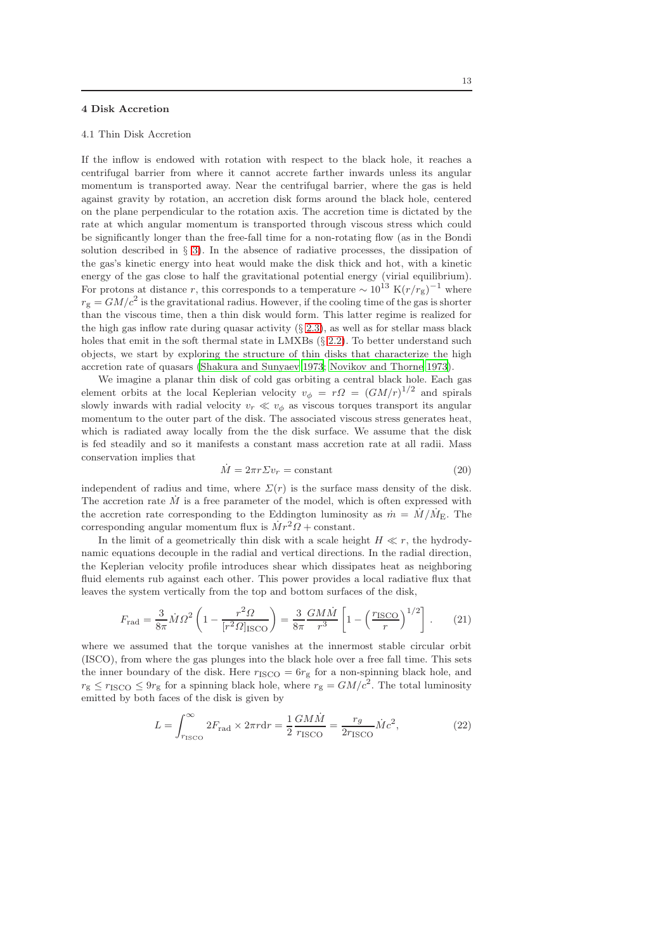### <span id="page-12-0"></span>4 Disk Accretion

#### 4.1 Thin Disk Accretion

If the inflow is endowed with rotation with respect to the black hole, it reaches a centrifugal barrier from where it cannot accrete farther inwards unless its angular momentum is transported away. Near the centrifugal barrier, where the gas is held against gravity by rotation, an accretion disk forms around the black hole, centered on the plane perpendicular to the rotation axis. The accretion time is dictated by the rate at which angular momentum is transported through viscous stress which could be significantly longer than the free-fall time for a non-rotating flow (as in the Bondi solution described in  $\S$  [3\)](#page-8-0). In the absence of radiative processes, the dissipation of the gas's kinetic energy into heat would make the disk thick and hot, with a kinetic energy of the gas close to half the gravitational potential energy (virial equilibrium). For protons at distance r, this corresponds to a temperature  $\sim 10^{13}$  K $(r/r<sub>g</sub>)$ <sup>-1</sup> where  $r_g = GM/c^2$  is the gravitational radius. However, if the cooling time of the gas is shorter than the viscous time, then a thin disk would form. This latter regime is realized for the high gas inflow rate during quasar activity  $(\S 2.3)$  $(\S 2.3)$ , as well as for stellar mass black holes that emit in the soft thermal state in LMXBs  $(§ 2.2)$  $(§ 2.2)$ . To better understand such objects, we start by exploring the structure of thin disks that characterize the high accretion rate of quasars [\(Shakura and Sunyaev 1973](#page-25-9); [Novikov and Thorne 1973](#page-24-15)).

We imagine a planar thin disk of cold gas orbiting a central black hole. Each gas element orbits at the local Keplerian velocity  $v_{\phi} = rQ = (GM/r)^{1/2}$  and spirals slowly inwards with radial velocity  $v_r \ll v_\phi$  as viscous torques transport its angular momentum to the outer part of the disk. The associated viscous stress generates heat, which is radiated away locally from the the disk surface. We assume that the disk is fed steadily and so it manifests a constant mass accretion rate at all radii. Mass conservation implies that

$$
\dot{M} = 2\pi r \Sigma v_r = \text{constant} \tag{20}
$$

independent of radius and time, where  $\Sigma(r)$  is the surface mass density of the disk. The accretion rate  $\dot{M}$  is a free parameter of the model, which is often expressed with the accretion rate corresponding to the Eddington luminosity as  $\dot{m} = M/M_{\rm E}$ . The corresponding angular momentum flux is  $\dot{M}r^2\Omega$  + constant.

In the limit of a geometrically thin disk with a scale height  $H \ll r$ , the hydrodynamic equations decouple in the radial and vertical directions. In the radial direction, the Keplerian velocity profile introduces shear which dissipates heat as neighboring fluid elements rub against each other. This power provides a local radiative flux that leaves the system vertically from the top and bottom surfaces of the disk,

<span id="page-12-1"></span>
$$
F_{\rm rad} = \frac{3}{8\pi} \dot{M} \Omega^2 \left( 1 - \frac{r^2 \Omega}{[r^2 \Omega]_{\rm ISCO}} \right) = \frac{3}{8\pi} \frac{GM\dot{M}}{r^3} \left[ 1 - \left(\frac{r_{\rm ISCO}}{r}\right)^{1/2} \right].
$$
 (21)

where we assumed that the torque vanishes at the innermost stable circular orbit (ISCO), from where the gas plunges into the black hole over a free fall time. This sets the inner boundary of the disk. Here  $r_{\text{ISCO}} = 6r_{\text{g}}$  for a non-spinning black hole, and  $r_{\rm g} \le r_{\rm ISCO} \le 9r_{\rm g}$  for a spinning black hole, where  $r_{\rm g} = GM/c^2$ . The total luminosity emitted by both faces of the disk is given by

<span id="page-12-2"></span>
$$
L = \int_{r_{\rm ISCO}}^{\infty} 2F_{\rm rad} \times 2\pi r \mathrm{d}r = \frac{1}{2} \frac{GM\dot{M}}{r_{\rm ISCO}} = \frac{r_g}{2r_{\rm ISCO}} \dot{M}c^2,
$$
 (22)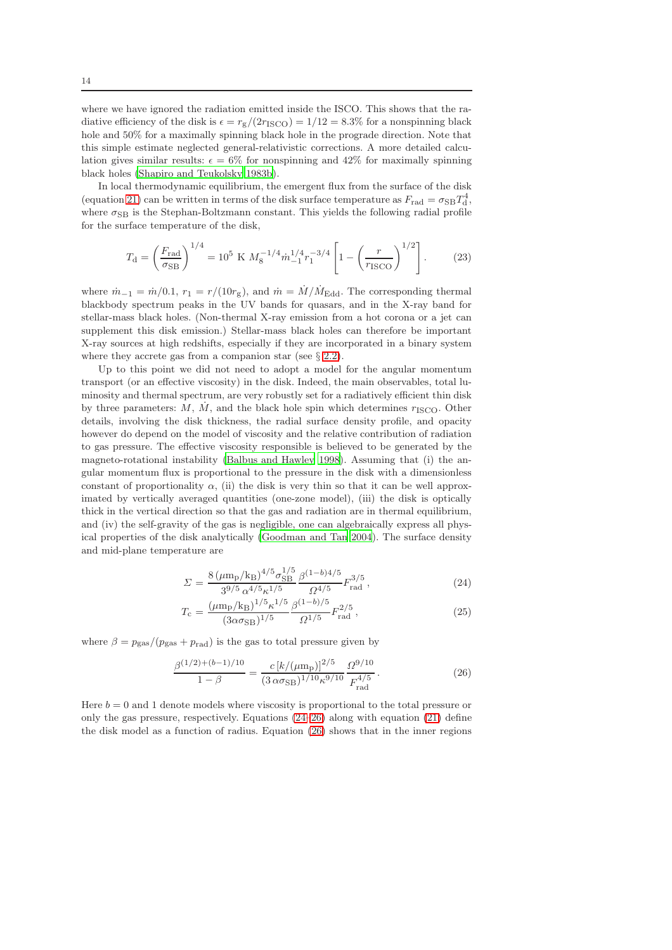where we have ignored the radiation emitted inside the ISCO. This shows that the radiative efficiency of the disk is  $\epsilon = r_g/(2r_{\rm ISCO}) = 1/12 = 8.3\%$  for a nonspinning black hole and 50% for a maximally spinning black hole in the prograde direction. Note that this simple estimate neglected general-relativistic corrections. A more detailed calculation gives similar results:  $\epsilon = 6\%$  for nonspinning and 42% for maximally spinning black holes [\(Shapiro and Teukolsky 1983b](#page-25-10)).

In local thermodynamic equilibrium, the emergent flux from the surface of the disk (equation [21\)](#page-12-1) can be written in terms of the disk surface temperature as  $F_{\text{rad}} = \sigma_{\text{SB}} T_{\text{d}}^4$ , where  $\sigma_{\rm SB}$  is the Stephan-Boltzmann constant. This yields the following radial profile for the surface temperature of the disk,

$$
T_{\rm d} = \left(\frac{F_{\rm rad}}{\sigma_{\rm SB}}\right)^{1/4} = 10^5 \, \mathrm{K} \, M_8^{-1/4} \dot{m}_{-1}^{1/4} r_1^{-3/4} \left[1 - \left(\frac{r}{r_{\rm ISCO}}\right)^{1/2}\right].\tag{23}
$$

where  $\dot{m}_{-1} = \dot{m}/0.1$ ,  $r_1 = r/(10r_{\rm g})$ , and  $\dot{m} = \dot{M}/\dot{M}_{\rm Edd}$ . The corresponding thermal blackbody spectrum peaks in the UV bands for quasars, and in the X-ray band for stellar-mass black holes. (Non-thermal X-ray emission from a hot corona or a jet can supplement this disk emission.) Stellar-mass black holes can therefore be important X-ray sources at high redshifts, especially if they are incorporated in a binary system where they accrete gas from a companion star (see  $\S 2.2$ ).

Up to this point we did not need to adopt a model for the angular momentum transport (or an effective viscosity) in the disk. Indeed, the main observables, total luminosity and thermal spectrum, are very robustly set for a radiatively efficient thin disk by three parameters:  $M$ ,  $\dot{M}$ , and the black hole spin which determines  $r_{\text{ISCO}}$ . Other details, involving the disk thickness, the radial surface density profile, and opacity however do depend on the model of viscosity and the relative contribution of radiation to gas pressure. The effective viscosity responsible is believed to be generated by the magneto-rotational instability [\(Balbus and Hawley 1998\)](#page-19-4). Assuming that (i) the angular momentum flux is proportional to the pressure in the disk with a dimensionless constant of proportionality  $\alpha$ , (ii) the disk is very thin so that it can be well approximated by vertically averaged quantities (one-zone model), (iii) the disk is optically thick in the vertical direction so that the gas and radiation are in thermal equilibrium, and (iv) the self-gravity of the gas is negligible, one can algebraically express all physical properties of the disk analytically [\(Goodman and Tan 2004](#page-21-5)). The surface density and mid-plane temperature are

<span id="page-13-0"></span>
$$
\Sigma = \frac{8\left(\mu \text{m}_\text{p}/\text{kg}\right)^{4/5} \sigma_{\text{SB}}^{1/5}}{3^{9/5} \alpha^{4/5} \kappa^{1/5}} \frac{\beta^{(1-b)4/5}}{\Omega^{4/5}} F_{\text{rad}}^{3/5},\tag{24}
$$

$$
T_{\rm c} = \frac{(\mu \text{m}_{\rm p}/\text{k}_{\rm B})^{1/5} \kappa^{1/5}}{(3\alpha \sigma_{\rm SB})^{1/5}} \frac{\beta^{(1-b)/5}}{\Omega^{1/5}} F_{\rm rad}^{2/5},\tag{25}
$$

where  $\beta = p_{\text{gas}}/(p_{\text{gas}} + p_{\text{rad}})$  is the gas to total pressure given by

<span id="page-13-1"></span>
$$
\frac{\beta^{(1/2)+(b-1)/10}}{1-\beta} = \frac{c \left[ k / (\mu \text{m}_p) \right]^{2/5}}{(3 \alpha \sigma_{\text{SB}})^{1/10} \kappa^{9/10}} \frac{\Omega^{9/10}}{F_{\text{rad}}^{\frac{4}{5}}}.
$$
 (26)

Here  $b = 0$  and 1 denote models where viscosity is proportional to the total pressure or only the gas pressure, respectively. Equations [\(24–](#page-13-0)[26\)](#page-13-1) along with equation [\(21\)](#page-12-1) define the disk model as a function of radius. Equation [\(26\)](#page-13-1) shows that in the inner regions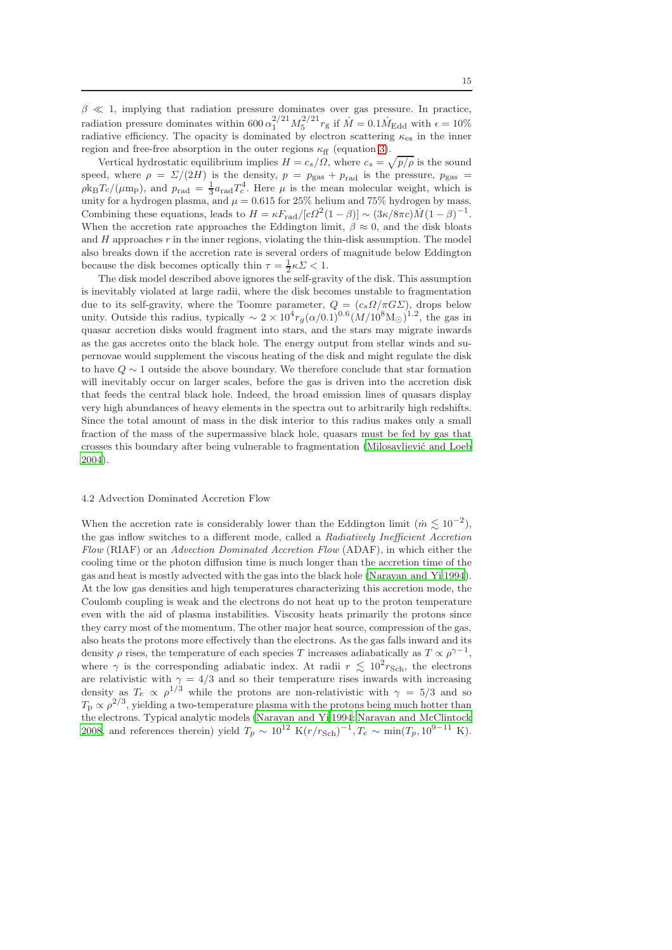$\beta \ll 1$ , implying that radiation pressure dominates over gas pressure. In practice, radiation pressure dominates within  $600 \alpha_1^{2/21} M_5^{2/21} r_{\rm g}$  if  $\dot{M} = 0.1 \dot{M}_{\rm Edd}$  with  $\epsilon = 10\%$ radiative efficiency. The opacity is dominated by electron scattering  $\kappa_{\text{es}}$  in the inner region and free-free absorption in the outer regions  $\kappa_{\rm ff}$  (equation [3\)](#page-5-2).

Vertical hydrostatic equilibrium implies  $H = c_s/\Omega$ , where  $c_s = \sqrt{p/\rho}$  is the sound speed, where  $\rho = \Sigma/(2H)$  is the density,  $p = p_{\text{gas}} + p_{\text{rad}}$  is the pressure,  $p_{\text{gas}} =$  $\rho k_B T_c/(\mu m_p)$ , and  $p_{rad} = \frac{1}{3} a_{rad} T_c^4$ . Here  $\mu$  is the mean molecular weight, which is unity for a hydrogen plasma, and  $\mu = 0.615$  for 25% helium and 75% hydrogen by mass. Combining these equations, leads to  $H = \kappa F_{\text{rad}} / [c\Omega^2 (1 - \beta)] \sim (3\kappa / 8\pi c) \dot{M} (1 - \beta)^{-1}$ . When the accretion rate approaches the Eddington limit,  $\beta \approx 0$ , and the disk bloats and  $H$  approaches  $r$  in the inner regions, violating the thin-disk assumption. The model also breaks down if the accretion rate is several orders of magnitude below Eddington because the disk becomes optically thin  $\tau = \frac{1}{2}\kappa \Sigma < 1$ .

The disk model described above ignores the self-gravity of the disk. This assumption is inevitably violated at large radii, where the disk becomes unstable to fragmentation due to its self-gravity, where the Toomre parameter,  $Q = (c_s \Omega / \pi G \Sigma)$ , drops below unity. Outside this radius, typically  $\sim 2 \times 10^4 r_g (\alpha/0.1)^{0.6} (M/10^8 \text{M}_{\odot})^{1.2}$ , the gas in quasar accretion disks would fragment into stars, and the stars may migrate inwards as the gas accretes onto the black hole. The energy output from stellar winds and supernovae would supplement the viscous heating of the disk and might regulate the disk to have  $Q \sim 1$  outside the above boundary. We therefore conclude that star formation will inevitably occur on larger scales, before the gas is driven into the accretion disk that feeds the central black hole. Indeed, the broad emission lines of quasars display very high abundances of heavy elements in the spectra out to arbitrarily high redshifts. Since the total amount of mass in the disk interior to this radius makes only a small fraction of the mass of the supermassive black hole, quasars must be fed by gas that crosses this boundary after being vulnerable to fragmentation (Milosavljević and Loeb [2004](#page-23-11)).

# <span id="page-14-0"></span>4.2 Advection Dominated Accretion Flow

When the accretion rate is considerably lower than the Eddington limit  $(m \lesssim 10^{-2})$ , the gas inflow switches to a different mode, called a Radiatively Inefficient Accretion Flow (RIAF) or an Advection Dominated Accretion Flow (ADAF), in which either the cooling time or the photon diffusion time is much longer than the accretion time of the gas and heat is mostly advected with the gas into the black hole [\(Narayan and Yi 1994](#page-24-16)). At the low gas densities and high temperatures characterizing this accretion mode, the Coulomb coupling is weak and the electrons do not heat up to the proton temperature even with the aid of plasma instabilities. Viscosity heats primarily the protons since they carry most of the momentum. The other major heat source, compression of the gas, also heats the protons more effectively than the electrons. As the gas falls inward and its density  $\rho$  rises, the temperature of each species T increases adiabatically as  $T \propto \rho^{\gamma-1}$ , where  $\gamma$  is the corresponding adiabatic index. At radii  $r \lesssim 10^{2} r_{\text{Sch}}$ , the electrons are relativistic with  $\gamma = 4/3$  and so their temperature rises inwards with increasing density as  $T_e \propto \rho^{1/3}$  while the protons are non-relativistic with  $\gamma = 5/3$  and so  $T_{\rm p} \propto \rho^{2/3}$ , yielding a two-temperature plasma with the protons being much hotter than the electrons. Typical analytic models [\(Narayan and Yi 1994;](#page-24-16) [Narayan and McClintock](#page-24-17) [2008](#page-24-17), and references therein) yield  $T_p \sim 10^{12} \text{ K}(r/r_{\text{Sch}})^{-1}$ ,  $T_e \sim \min(T_p, 10^{9-11} \text{ K})$ .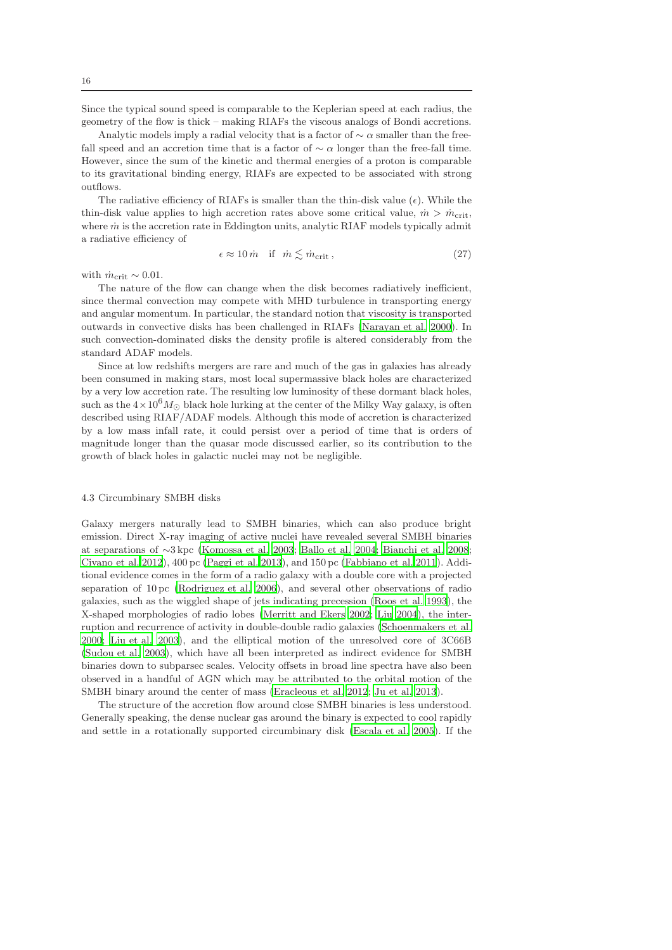Since the typical sound speed is comparable to the Keplerian speed at each radius, the geometry of the flow is thick – making RIAFs the viscous analogs of Bondi accretions.

Analytic models imply a radial velocity that is a factor of  $\sim \alpha$  smaller than the freefall speed and an accretion time that is a factor of  $\sim \alpha$  longer than the free-fall time. However, since the sum of the kinetic and thermal energies of a proton is comparable to its gravitational binding energy, RIAFs are expected to be associated with strong outflows.

The radiative efficiency of RIAFs is smaller than the thin-disk value  $(\epsilon)$ . While the thin-disk value applies to high accretion rates above some critical value,  $\dot{m} > \dot{m}_{\text{crit}}$ , where  $\dot{m}$  is the accretion rate in Eddington units, analytic RIAF models typically admit a radiative efficiency of

$$
\epsilon \approx 10 \,\dot{m} \quad \text{if} \quad \dot{m} \lesssim \dot{m}_{\text{crit}} \,, \tag{27}
$$

with  $\dot{m}_{\rm crit} \sim 0.01$ .

The nature of the flow can change when the disk becomes radiatively inefficient, since thermal convection may compete with MHD turbulence in transporting energy and angular momentum. In particular, the standard notion that viscosity is transported outwards in convective disks has been challenged in RIAFs [\(Narayan et al. 2000](#page-24-18)). In such convection-dominated disks the density profile is altered considerably from the standard ADAF models.

Since at low redshifts mergers are rare and much of the gas in galaxies has already been consumed in making stars, most local supermassive black holes are characterized by a very low accretion rate. The resulting low luminosity of these dormant black holes, such as the  $4\times10^6M_{\odot}$  black hole lurking at the center of the Milky Way galaxy, is often described using RIAF/ADAF models. Although this mode of accretion is characterized by a low mass infall rate, it could persist over a period of time that is orders of magnitude longer than the quasar mode discussed earlier, so its contribution to the growth of black holes in galactic nuclei may not be negligible.

### 4.3 Circumbinary SMBH disks

Galaxy mergers naturally lead to SMBH binaries, which can also produce bright emission. Direct X-ray imaging of active nuclei have revealed several SMBH binaries at separations of ∼3 kpc [\(Komossa et al. 2003](#page-22-8); [Ballo et al. 2004;](#page-19-5) [Bianchi et al. 2008](#page-20-16); [Civano et al. 2012](#page-20-17)), 400 pc [\(Paggi et al. 2013](#page-24-19)), and 150 pc [\(Fabbiano et al. 2011](#page-21-12)). Additional evidence comes in the form of a radio galaxy with a double core with a projected separation of 10 pc [\(Rodriguez et al. 2006\)](#page-24-20), and several other observations of radio galaxies, such as the wiggled shape of jets indicating precession [\(Roos et al. 1993\)](#page-24-21), the X-shaped morphologies of radio lobes [\(Merritt and Ekers 2002;](#page-23-12) [Liu 2004](#page-23-13)), the interruption and recurrence of activity in double-double radio galaxies [\(Schoenmakers et al.](#page-25-11) [2000](#page-25-11); [Liu et al. 2003](#page-23-14)), and the elliptical motion of the unresolved core of 3C66B [\(Sudou et al. 2003](#page-25-12)), which have all been interpreted as indirect evidence for SMBH binaries down to subparsec scales. Velocity offsets in broad line spectra have also been observed in a handful of AGN which may be attributed to the orbital motion of the SMBH binary around the center of mass [\(Eracleous et al. 2012;](#page-21-13) [Ju et al. 2013](#page-22-9)).

The structure of the accretion flow around close SMBH binaries is less understood. Generally speaking, the dense nuclear gas around the binary is expected to cool rapidly and settle in a rotationally supported circumbinary disk [\(Escala et al. 2005](#page-21-14)). If the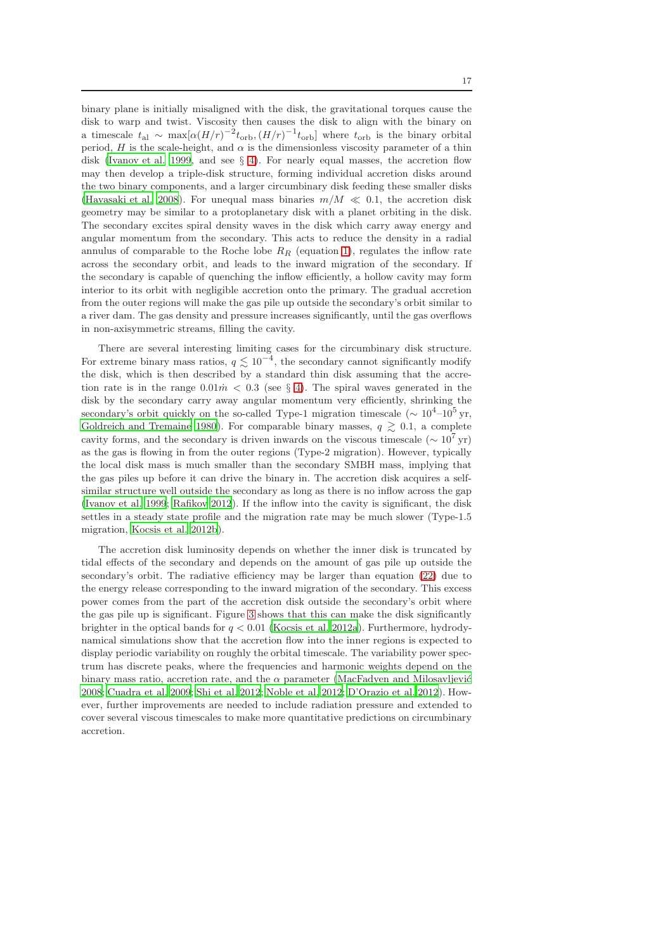binary plane is initially misaligned with the disk, the gravitational torques cause the disk to warp and twist. Viscosity then causes the disk to align with the binary on a timescale  $t_{\rm al} \sim \max[\alpha(H/r)^{-2} t_{\rm orb}, (H/r)^{-1} t_{\rm orb}]$  where  $t_{\rm orb}$  is the binary orbital period, H is the scale-height, and  $\alpha$  is the dimensionless viscosity parameter of a thin disk [\(Ivanov et al. 1999](#page-22-10), and see § [4\)](#page-12-0). For nearly equal masses, the accretion flow may then develop a triple-disk structure, forming individual accretion disks around the two binary components, and a larger circumbinary disk feeding these smaller disks [\(Hayasaki et al. 2008](#page-22-11)). For unequal mass binaries  $m/M \ll 0.1$ , the accretion disk geometry may be similar to a protoplanetary disk with a planet orbiting in the disk. The secondary excites spiral density waves in the disk which carry away energy and angular momentum from the secondary. This acts to reduce the density in a radial annulus of comparable to the Roche lobe  $R_R$  (equation [1\)](#page-2-1), regulates the inflow rate across the secondary orbit, and leads to the inward migration of the secondary. If the secondary is capable of quenching the inflow efficiently, a hollow cavity may form interior to its orbit with negligible accretion onto the primary. The gradual accretion from the outer regions will make the gas pile up outside the secondary's orbit similar to a river dam. The gas density and pressure increases significantly, until the gas overflows in non-axisymmetric streams, filling the cavity.

There are several interesting limiting cases for the circumbinary disk structure. For extreme binary mass ratios,  $q \lesssim 10^{-4}$ , the secondary cannot significantly modify the disk, which is then described by a standard thin disk assuming that the accretion rate is in the range  $0.01\dot{m} < 0.3$  (see § [4\)](#page-12-0). The spiral waves generated in the disk by the secondary carry away angular momentum very efficiently, shrinking the secondary's orbit quickly on the so-called Type-1 migration timescale ( $\sim 10^4$ – $10^5$  yr, [Goldreich and Tremaine 1980](#page-21-15)). For comparable binary masses,  $q \geq 0.1$ , a complete cavity forms, and the secondary is driven inwards on the viscous timescale ( $\sim 10^7$  yr) as the gas is flowing in from the outer regions (Type-2 migration). However, typically the local disk mass is much smaller than the secondary SMBH mass, implying that the gas piles up before it can drive the binary in. The accretion disk acquires a selfsimilar structure well outside the secondary as long as there is no inflow across the gap [\(Ivanov et al. 1999](#page-22-10); [Rafikov 2012](#page-24-22)). If the inflow into the cavity is significant, the disk settles in a steady state profile and the migration rate may be much slower (Type-1.5 migration, [Kocsis et al. 2012b\)](#page-22-12).

The accretion disk luminosity depends on whether the inner disk is truncated by tidal effects of the secondary and depends on the amount of gas pile up outside the secondary's orbit. The radiative efficiency may be larger than equation [\(22\)](#page-12-2) due to the energy release corresponding to the inward migration of the secondary. This excess power comes from the part of the accretion disk outside the secondary's orbit where the gas pile up is significant. Figure [3](#page-17-0) shows that this can make the disk significantly brighter in the optical bands for  $q < 0.01$  [\(Kocsis et al. 2012a\)](#page-22-13). Furthermore, hydrodynamical simulations show that the accretion flow into the inner regions is expected to display periodic variability on roughly the orbital timescale. The variability power spectrum has discrete peaks, where the frequencies and harmonic weights depend on the binary mass ratio, accretion rate, and the  $\alpha$  parameter (MacFadyen and Milosavljević [2008](#page-23-15); [Cuadra et al. 2009](#page-21-16); [Shi et al. 2012;](#page-25-13) [Noble et al. 2012](#page-24-23); [D'Orazio et al. 2012](#page-21-17)). However, further improvements are needed to include radiation pressure and extended to cover several viscous timescales to make more quantitative predictions on circumbinary accretion.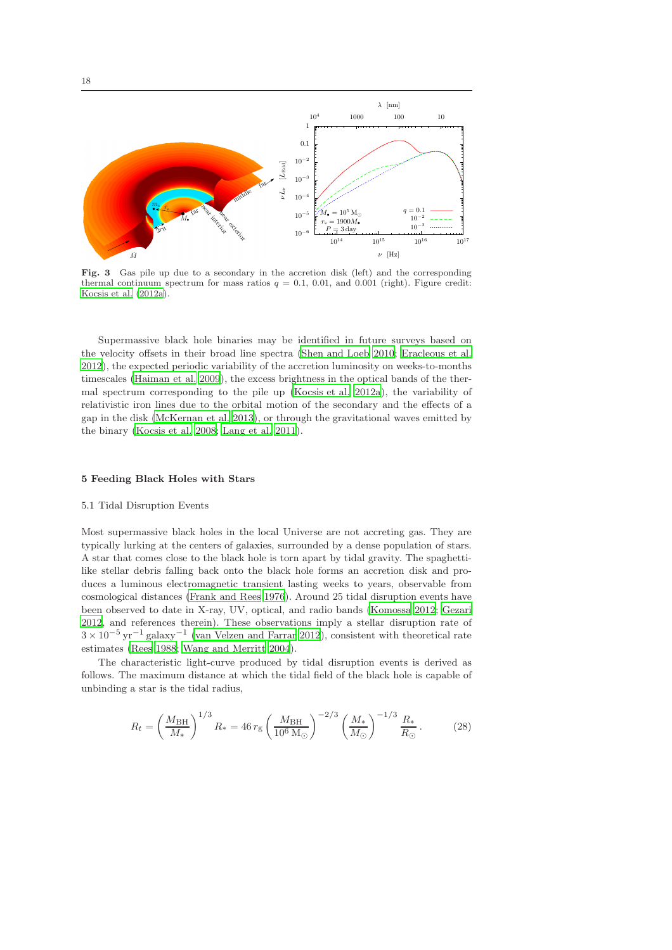

<span id="page-17-0"></span>Fig. 3 Gas pile up due to a secondary in the accretion disk (left) and the corresponding thermal continuum spectrum for mass ratios  $q = 0.1, 0.01,$  and 0.001 (right). Figure credit: [Kocsis et al. \(2012a\)](#page-22-13).

Supermassive black hole binaries may be identified in future surveys based on the velocity offsets in their broad line spectra [\(Shen and Loeb 2010](#page-25-14); [Eracleous et al.](#page-21-13) [2012](#page-21-13)), the expected periodic variability of the accretion luminosity on weeks-to-months timescales [\(Haiman et al. 2009](#page-22-14)), the excess brightness in the optical bands of the thermal spectrum corresponding to the pile up [\(Kocsis et al. 2012a](#page-22-13)), the variability of relativistic iron lines due to the orbital motion of the secondary and the effects of a gap in the disk [\(McKernan et al. 2013\)](#page-23-16), or through the gravitational waves emitted by the binary [\(Kocsis et al. 2008](#page-22-15); [Lang et al. 2011](#page-23-17)).

## 5 Feeding Black Holes with Stars

### 5.1 Tidal Disruption Events

Most supermassive black holes in the local Universe are not accreting gas. They are typically lurking at the centers of galaxies, surrounded by a dense population of stars. A star that comes close to the black hole is torn apart by tidal gravity. The spaghettilike stellar debris falling back onto the black hole forms an accretion disk and produces a luminous electromagnetic transient lasting weeks to years, observable from cosmological distances [\(Frank and Rees 1976](#page-21-18)). Around 25 tidal disruption events have been observed to date in X-ray, UV, optical, and radio bands [\(Komossa 2012](#page-22-16); [Gezari](#page-21-19) [2012](#page-21-19), and references therein). These observations imply a stellar disruption rate of  $3 \times 10^{-5}$  yr<sup>-1</sup> galaxy<sup>-1</sup> [\(van Velzen and Farrar 2012\)](#page-25-15), consistent with theoretical rate estimates [\(Rees 1988](#page-24-24); [Wang and Merritt 2004\)](#page-25-16).

The characteristic light-curve produced by tidal disruption events is derived as follows. The maximum distance at which the tidal field of the black hole is capable of unbinding a star is the tidal radius,

<span id="page-17-1"></span>
$$
R_t = \left(\frac{M_{\rm BH}}{M_*}\right)^{1/3} R_* = 46 r_{\rm g} \left(\frac{M_{\rm BH}}{10^6 \,\rm M_{\odot}}\right)^{-2/3} \left(\frac{M_*}{M_{\odot}}\right)^{-1/3} \frac{R_*}{R_{\odot}}.
$$
 (28)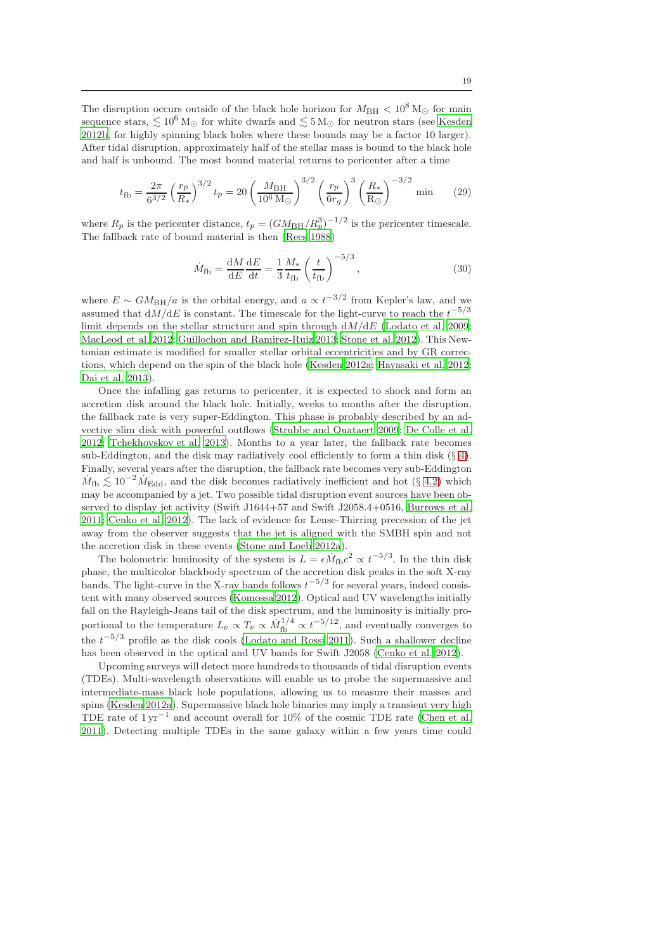The disruption occurs outside of the black hole horizon for  $M_{\rm BH} < 10^8$  M<sub>☉</sub> for main sequence stars,  $\lesssim 10^6$  M<sub>☉</sub> for white dwarfs and  $\lesssim 5$  M<sub>☉</sub> for neutron stars (see [Kesden](#page-22-17) [2012b](#page-22-17), for highly spinning black holes where these bounds may be a factor 10 larger). After tidal disruption, approximately half of the stellar mass is bound to the black hole and half is unbound. The most bound material returns to pericenter after a time

$$
t_{\rm fb} = \frac{2\pi}{6^{3/2}} \left(\frac{r_p}{R_*}\right)^{3/2} t_p = 20 \left(\frac{M_{\rm BH}}{10^6 \,\rm M_{\odot}}\right)^{3/2} \left(\frac{r_p}{6r_g}\right)^3 \left(\frac{R_*}{R_{\odot}}\right)^{-3/2} \,\rm min \qquad (29)
$$

where  $R_p$  is the pericenter distance,  $t_p = (GM_{\rm BH}/R_p^3)^{-1/2}$  is the pericenter timescale. The fallback rate of bound material is then [\(Rees 1988](#page-24-24))

$$
\dot{M}_{\text{fb}} = \frac{dM}{dE} \frac{dE}{dt} = \frac{1}{3} \frac{M_*}{t_{\text{fb}}} \left(\frac{t}{t_{\text{fb}}}\right)^{-5/3},\tag{30}
$$

where  $E \sim GM_{\rm BH}/a$  is the orbital energy, and  $a \propto t^{-3/2}$  from Kepler's law, and we assumed that  $dM/dE$  is constant. The timescale for the light-curve to reach the  $t^{-5/3}$ limit depends on the stellar structure and spin through  $dM/dE$  [\(Lodato et al. 2009](#page-23-18); [MacLeod et al. 2012;](#page-23-19) [Guillochon and Ramirez-Ruiz 2013;](#page-22-18) [Stone et al. 2012\)](#page-25-17). This Newtonian estimate is modified for smaller stellar orbital eccentricities and by GR corrections, which depend on the spin of the black hole [\(Kesden 2012a;](#page-22-19) [Hayasaki et al. 2012](#page-22-20); [Dai et al. 2013](#page-21-20)).

Once the infalling gas returns to pericenter, it is expected to shock and form an accretion disk around the black hole. Initially, weeks to months after the disruption, the fallback rate is very super-Eddington. This phase is probably described by an advective slim disk with powerful outflows [\(Strubbe and Quataert 2009](#page-25-18); [De Colle et al.](#page-21-21) [2012](#page-21-21); [Tchekhovskoy et al. 2013\)](#page-25-19). Months to a year later, the fallback rate becomes sub-Eddington, and the disk may radiatively cool efficiently to form a thin disk  $(\S 4)$  $(\S 4)$ . Finally, several years after the disruption, the fallback rate becomes very sub-Eddington  $\dot{M}_{\rm fb} \lesssim 10^{-2} \dot{M}_{\rm Edd}$ , and the disk becomes radiatively inefficient and hot (§ [4.2\)](#page-14-0) which may be accompanied by a jet. Two possible tidal disruption event sources have been observed to display jet activity (Swift J1644+57 and Swift J2058.4+0516, [Burrows et al.](#page-20-18) [2011](#page-20-18); [Cenko et al. 2012](#page-20-19)). The lack of evidence for Lense-Thirring precession of the jet away from the observer suggests that the jet is aligned with the SMBH spin and not the accretion disk in these events [\(Stone and Loeb 2012a\)](#page-25-20).

The bolometric luminosity of the system is  $L = \epsilon \dot{M}_{\rm fb} c^2 \propto t^{-5/3}$ . In the thin disk phase, the multicolor blackbody spectrum of the accretion disk peaks in the soft X-ray bands. The light-curve in the X-ray bands follows  $t^{-5/3}$  for several years, indeed consistent with many observed sources [\(Komossa 2012](#page-22-16)). Optical and UV wavelengths initially fall on the Rayleigh-Jeans tail of the disk spectrum, and the luminosity is initially proportional to the temperature  $L_{\nu} \propto T_{\nu} \propto \dot{M}_{\rm fb}^{1/4} \propto t^{-5/12}$ , and eventually converges to the  $t^{-5/3}$  profile as the disk cools [\(Lodato and Rossi 2011](#page-23-20)). Such a shallower decline has been observed in the optical and UV bands for Swift J2058 [\(Cenko et al. 2012](#page-20-19)).

Upcoming surveys will detect more hundreds to thousands of tidal disruption events (TDEs). Multi-wavelength observations will enable us to probe the supermassive and intermediate-mass black hole populations, allowing us to measure their masses and spins [\(Kesden 2012a](#page-22-19)). Supermassive black hole binaries may imply a transient very high TDE rate of 1 yr−<sup>1</sup> and account overall for 10% of the cosmic TDE rate [\(Chen et al.](#page-20-20) [2011](#page-20-20)). Detecting multiple TDEs in the same galaxy within a few years time could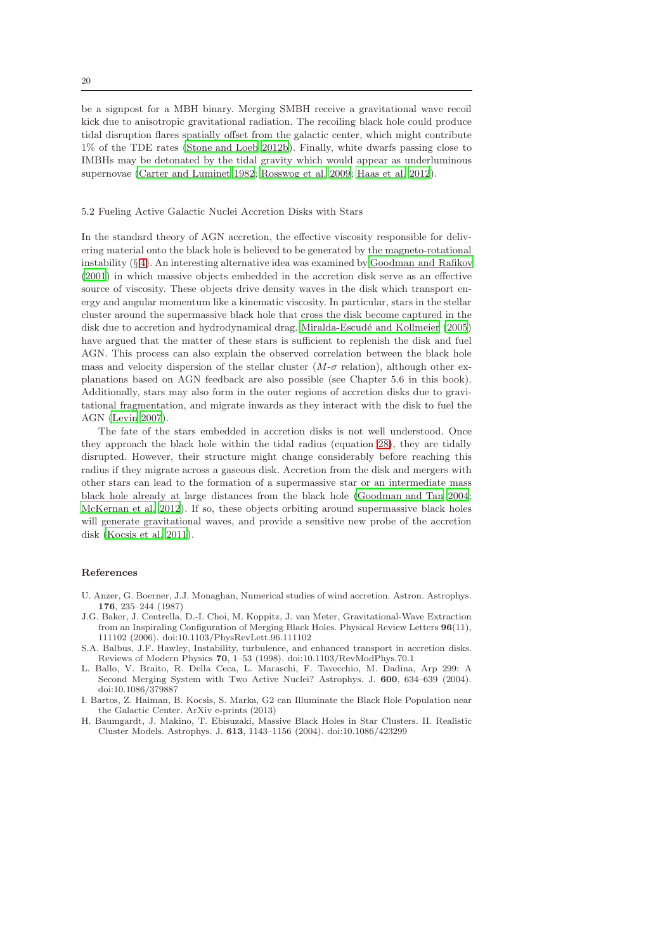be a signpost for a MBH binary. Merging SMBH receive a gravitational wave recoil kick due to anisotropic gravitational radiation. The recoiling black hole could produce tidal disruption flares spatially offset from the galactic center, which might contribute 1% of the TDE rates [\(Stone and Loeb 2012b](#page-25-21)). Finally, white dwarfs passing close to IMBHs may be detonated by the tidal gravity which would appear as underluminous supernovae [\(Carter and Luminet 1982](#page-20-21); [Rosswog et al. 2009](#page-24-25); [Haas et al. 2012](#page-22-21)).

### 5.2 Fueling Active Galactic Nuclei Accretion Disks with Stars

In the standard theory of AGN accretion, the effective viscosity responsible for delivering material onto the black hole is believed to be generated by the magneto-rotational instability (§ [4\)](#page-12-0). An interesting alternative idea was examined by Goodman [and Rafikov](#page-21-22) [\(2001\)](#page-21-22) in which massive objects embedded in the accretion disk serve as an effective source of viscosity. These objects drive density waves in the disk which transport energy and angular momentum like a kinematic viscosity. In particular, stars in the stellar cluster around the supermassive black hole that cross the disk become captured in the disk due to accretion and hydrodynamical drag. Miralda-Escudé and Kollmeier (2005) have argued that the matter of these stars is sufficient to replenish the disk and fuel AGN. This process can also explain the observed correlation between the black hole mass and velocity dispersion of the stellar cluster  $(M-\sigma)$  relation), although other explanations based on AGN feedback are also possible (see Chapter 5.6 in this book). Additionally, stars may also form in the outer regions of accretion disks due to gravitational fragmentation, and migrate inwards as they interact with the disk to fuel the AGN [\(Levin 2007](#page-23-7)).

The fate of the stars embedded in accretion disks is not well understood. Once they approach the black hole within the tidal radius (equation [28\)](#page-17-1), they are tidally disrupted. However, their structure might change considerably before reaching this radius if they migrate across a gaseous disk. Accretion from the disk and mergers with other stars can lead to the formation of a supermassive star or an intermediate mass black hole already at large distances from the black hole [\(Goodman and Tan 2004](#page-21-5); [McKernan et al. 2012\)](#page-23-8). If so, these objects orbiting around supermassive black holes will generate gravitational waves, and provide a sensitive new probe of the accretion disk [\(Kocsis et al. 2011\)](#page-22-3).

# References

- <span id="page-19-3"></span>U. Anzer, G. Boerner, J.J. Monaghan, Numerical studies of wind accretion. Astron. Astrophys. 176, 235–244 (1987)
- <span id="page-19-0"></span>J.G. Baker, J. Centrella, D.-I. Choi, M. Koppitz, J. van Meter, Gravitational-Wave Extraction from an Inspiraling Configuration of Merging Black Holes. Physical Review Letters 96(11), 111102 (2006). doi:10.1103/PhysRevLett.96.111102
- <span id="page-19-4"></span>S.A. Balbus, J.F. Hawley, Instability, turbulence, and enhanced transport in accretion disks. Reviews of Modern Physics 70, 1–53 (1998). doi:10.1103/RevModPhys.70.1
- <span id="page-19-5"></span>L. Ballo, V. Braito, R. Della Ceca, L. Maraschi, F. Tavecchio, M. Dadina, Arp 299: A Second Merging System with Two Active Nuclei? Astrophys. J. 600, 634–639 (2004). doi:10.1086/379887
- <span id="page-19-2"></span>I. Bartos, Z. Haiman, B. Kocsis, S. Marka, G2 can Illuminate the Black Hole Population near the Galactic Center. ArXiv e-prints (2013)
- <span id="page-19-1"></span>H. Baumgardt, J. Makino, T. Ebisuzaki, Massive Black Holes in Star Clusters. II. Realistic Cluster Models. Astrophys. J. 613, 1143–1156 (2004). doi:10.1086/423299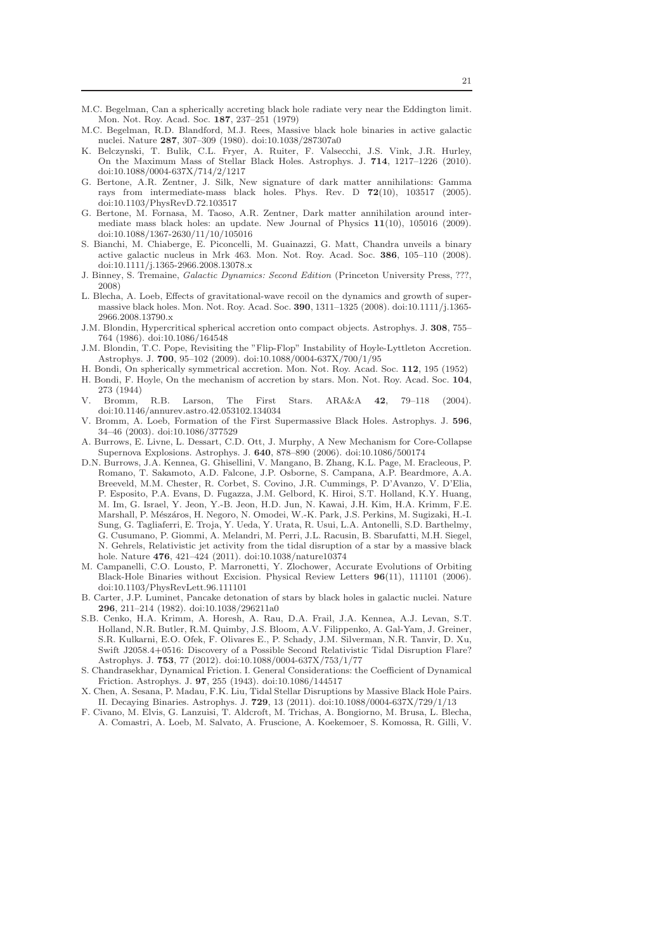- <span id="page-20-10"></span>M.C. Begelman, Can a spherically accreting black hole radiate very near the Eddington limit. Mon. Not. Roy. Acad. Soc. 187, 237–251 (1979)
- <span id="page-20-1"></span>M.C. Begelman, R.D. Blandford, M.J. Rees, Massive black hole binaries in active galactic nuclei. Nature 287, 307–309 (1980). doi:10.1038/287307a0
- <span id="page-20-0"></span>K. Belczynski, T. Bulik, C.L. Fryer, A. Ruiter, F. Valsecchi, J.S. Vink, J.R. Hurley, On the Maximum Mass of Stellar Black Holes. Astrophys. J. 714, 1217–1226 (2010). doi:10.1088/0004-637X/714/2/1217
- <span id="page-20-6"></span>G. Bertone, A.R. Zentner, J. Silk, New signature of dark matter annihilations: Gamma rays from intermediate-mass black holes. Phys. Rev. D 72(10), 103517 (2005). doi:10.1103/PhysRevD.72.103517
- <span id="page-20-7"></span>G. Bertone, M. Fornasa, M. Taoso, A.R. Zentner, Dark matter annihilation around intermediate mass black holes: an update. New Journal of Physics 11(10), 105016 (2009). doi:10.1088/1367-2630/11/10/105016
- <span id="page-20-16"></span>S. Bianchi, M. Chiaberge, E. Piconcelli, M. Guainazzi, G. Matt, Chandra unveils a binary active galactic nucleus in Mrk 463. Mon. Not. Roy. Acad. Soc. 386, 105–110 (2008). doi:10.1111/j.1365-2966.2008.13078.x
- <span id="page-20-13"></span>J. Binney, S. Tremaine, *Galactic Dynamics: Second Edition* (Princeton University Press, ???, 2008)
- <span id="page-20-3"></span>L. Blecha, A. Loeb, Effects of gravitational-wave recoil on the dynamics and growth of supermassive black holes. Mon. Not. Roy. Acad. Soc. 390, 1311–1325 (2008). doi:10.1111/j.1365- 2966.2008.13790.x
- <span id="page-20-11"></span>J.M. Blondin, Hypercritical spherical accretion onto compact objects. Astrophys. J. 308, 755– 764 (1986). doi:10.1086/164548
- <span id="page-20-14"></span>J.M. Blondin, T.C. Pope, Revisiting the "Flip-Flop" Instability of Hoyle-Lyttleton Accretion. Astrophys. J. 700, 95–102 (2009). doi:10.1088/0004-637X/700/1/95
- <span id="page-20-9"></span><span id="page-20-8"></span>H. Bondi, On spherically symmetrical accretion. Mon. Not. Roy. Acad. Soc. 112, 195 (1952) H. Bondi, F. Hoyle, On the mechanism of accretion by stars. Mon. Not. Roy. Acad. Soc. 104,
- <span id="page-20-4"></span>273 (1944) V. Bromm, R.B. Larson, The First Stars. ARA&A 42, 79–118 (2004). doi:10.1146/annurev.astro.42.053102.134034
- <span id="page-20-5"></span>V. Bromm, A. Loeb, Formation of the First Supermassive Black Holes. Astrophys. J. 596, 34–46 (2003). doi:10.1086/377529
- <span id="page-20-15"></span>A. Burrows, E. Livne, L. Dessart, C.D. Ott, J. Murphy, A New Mechanism for Core-Collapse Supernova Explosions. Astrophys. J. 640, 878–890 (2006). doi:10.1086/500174
- <span id="page-20-18"></span>D.N. Burrows, J.A. Kennea, G. Ghisellini, V. Mangano, B. Zhang, K.L. Page, M. Eracleous, P. Romano, T. Sakamoto, A.D. Falcone, J.P. Osborne, S. Campana, A.P. Beardmore, A.A. Breeveld, M.M. Chester, R. Corbet, S. Covino, J.R. Cummings, P. D'Avanzo, V. D'Elia, P. Esposito, P.A. Evans, D. Fugazza, J.M. Gelbord, K. Hiroi, S.T. Holland, K.Y. Huang, M. Im, G. Israel, Y. Jeon, Y.-B. Jeon, H.D. Jun, N. Kawai, J.H. Kim, H.A. Krimm, F.E. Marshall, P. Mészáros, H. Negoro, N. Omodei, W.-K. Park, J.S. Perkins, M. Sugizaki, H.-I. Sung, G. Tagliaferri, E. Troja, Y. Ueda, Y. Urata, R. Usui, L.A. Antonelli, S.D. Barthelmy, G. Cusumano, P. Giommi, A. Melandri, M. Perri, J.L. Racusin, B. Sbarufatti, M.H. Siegel, N. Gehrels, Relativistic jet activity from the tidal disruption of a star by a massive black hole. Nature 476, 421–424 (2011). doi:10.1038/nature10374
- <span id="page-20-2"></span>M. Campanelli, C.O. Lousto, P. Marronetti, Y. Zlochower, Accurate Evolutions of Orbiting Black-Hole Binaries without Excision. Physical Review Letters 96(11), 111101 (2006). doi:10.1103/PhysRevLett.96.111101
- <span id="page-20-21"></span>B. Carter, J.P. Luminet, Pancake detonation of stars by black holes in galactic nuclei. Nature 296, 211–214 (1982). doi:10.1038/296211a0
- <span id="page-20-19"></span>S.B. Cenko, H.A. Krimm, A. Horesh, A. Rau, D.A. Frail, J.A. Kennea, A.J. Levan, S.T. Holland, N.R. Butler, R.M. Quimby, J.S. Bloom, A.V. Filippenko, A. Gal-Yam, J. Greiner, S.R. Kulkarni, E.O. Ofek, F. Olivares E., P. Schady, J.M. Silverman, N.R. Tanvir, D. Xu, Swift J2058.4+0516: Discovery of a Possible Second Relativistic Tidal Disruption Flare? Astrophys. J. 753, 77 (2012). doi:10.1088/0004-637X/753/1/77
- <span id="page-20-12"></span>S. Chandrasekhar, Dynamical Friction. I. General Considerations: the Coefficient of Dynamical Friction. Astrophys. J. 97, 255 (1943). doi:10.1086/144517
- <span id="page-20-20"></span>X. Chen, A. Sesana, P. Madau, F.K. Liu, Tidal Stellar Disruptions by Massive Black Hole Pairs. II. Decaying Binaries. Astrophys. J. 729, 13 (2011). doi:10.1088/0004-637X/729/1/13
- <span id="page-20-17"></span>F. Civano, M. Elvis, G. Lanzuisi, T. Aldcroft, M. Trichas, A. Bongiorno, M. Brusa, L. Blecha, A. Comastri, A. Loeb, M. Salvato, A. Fruscione, A. Koekemoer, S. Komossa, R. Gilli, V.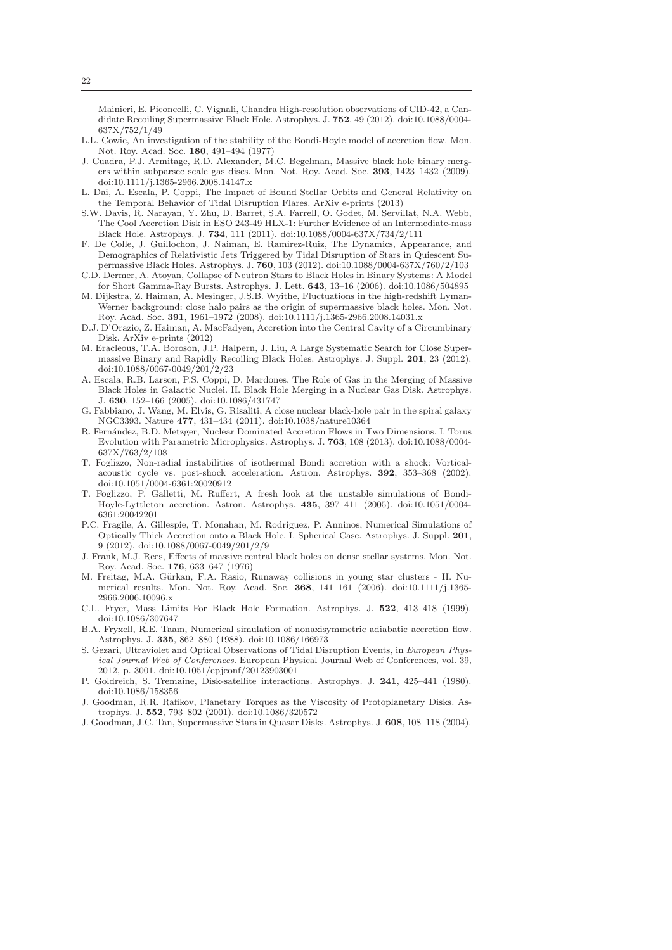Mainieri, E. Piconcelli, C. Vignali, Chandra High-resolution observations of CID-42, a Candidate Recoiling Supermassive Black Hole. Astrophys. J. 752, 49 (2012). doi:10.1088/0004- 637X/752/1/49

- <span id="page-21-9"></span>L.L. Cowie, An investigation of the stability of the Bondi-Hoyle model of accretion flow. Mon. Not. Roy. Acad. Soc. 180, 491–494 (1977)
- <span id="page-21-16"></span>J. Cuadra, P.J. Armitage, R.D. Alexander, M.C. Begelman, Massive black hole binary mergers within subparsec scale gas discs. Mon. Not. Roy. Acad. Soc. 393, 1423–1432 (2009). doi:10.1111/j.1365-2966.2008.14147.x
- <span id="page-21-20"></span>L. Dai, A. Escala, P. Coppi, The Impact of Bound Stellar Orbits and General Relativity on the Temporal Behavior of Tidal Disruption Flares. ArXiv e-prints (2013)
- <span id="page-21-6"></span>S.W. Davis, R. Narayan, Y. Zhu, D. Barret, S.A. Farrell, O. Godet, M. Servillat, N.A. Webb, The Cool Accretion Disk in ESO 243-49 HLX-1: Further Evidence of an Intermediate-mass Black Hole. Astrophys. J. 734, 111 (2011). doi:10.1088/0004-637X/734/2/111
- <span id="page-21-21"></span>F. De Colle, J. Guillochon, J. Naiman, E. Ramirez-Ruiz, The Dynamics, Appearance, and Demographics of Relativistic Jets Triggered by Tidal Disruption of Stars in Quiescent Supermassive Black Holes. Astrophys. J. 760, 103 (2012). doi:10.1088/0004-637X/760/2/103
- <span id="page-21-1"></span>C.D. Dermer, A. Atoyan, Collapse of Neutron Stars to Black Holes in Binary Systems: A Model for Short Gamma-Ray Bursts. Astrophys. J. Lett. 643, 13–16 (2006). doi:10.1086/504895
- <span id="page-21-3"></span>M. Dijkstra, Z. Haiman, A. Mesinger, J.S.B. Wyithe, Fluctuations in the high-redshift Lyman-Werner background: close halo pairs as the origin of supermassive black holes. Mon. Not. Roy. Acad. Soc. 391, 1961–1972 (2008). doi:10.1111/j.1365-2966.2008.14031.x
- <span id="page-21-17"></span>D.J. D'Orazio, Z. Haiman, A. MacFadyen, Accretion into the Central Cavity of a Circumbinary Disk. ArXiv e-prints (2012)
- <span id="page-21-13"></span>M. Eracleous, T.A. Boroson, J.P. Halpern, J. Liu, A Large Systematic Search for Close Supermassive Binary and Rapidly Recoiling Black Holes. Astrophys. J. Suppl. 201, 23 (2012). doi:10.1088/0067-0049/201/2/23
- <span id="page-21-14"></span>A. Escala, R.B. Larson, P.S. Coppi, D. Mardones, The Role of Gas in the Merging of Massive Black Holes in Galactic Nuclei. II. Black Hole Merging in a Nuclear Gas Disk. Astrophys. J. 630, 152–166 (2005). doi:10.1086/431747
- <span id="page-21-12"></span>G. Fabbiano, J. Wang, M. Elvis, G. Risaliti, A close nuclear black-hole pair in the spiral galaxy NGC3393. Nature 477, 431–434 (2011). doi:10.1038/nature10364
- <span id="page-21-2"></span>R. Fernández, B.D. Metzger, Nuclear Dominated Accretion Flows in Two Dimensions. I. Torus Evolution with Parametric Microphysics. Astrophys. J. 763, 108 (2013). doi:10.1088/0004- 637X/763/2/108
- <span id="page-21-10"></span>T. Foglizzo, Non-radial instabilities of isothermal Bondi accretion with a shock: Vorticalacoustic cycle vs. post-shock acceleration. Astron. Astrophys. 392, 353–368 (2002). doi:10.1051/0004-6361:20020912
- <span id="page-21-11"></span>T. Foglizzo, P. Galletti, M. Ruffert, A fresh look at the unstable simulations of Bondi-Hoyle-Lyttleton accretion. Astron. Astrophys. 435, 397–411 (2005). doi:10.1051/0004- 6361:20042201
- <span id="page-21-7"></span>P.C. Fragile, A. Gillespie, T. Monahan, M. Rodriguez, P. Anninos, Numerical Simulations of Optically Thick Accretion onto a Black Hole. I. Spherical Case. Astrophys. J. Suppl. 201, 9 (2012). doi:10.1088/0067-0049/201/2/9
- <span id="page-21-18"></span>J. Frank, M.J. Rees, Effects of massive central black holes on dense stellar systems. Mon. Not. Roy. Acad. Soc. 176, 633–647 (1976)
- <span id="page-21-4"></span>M. Freitag, M.A. Gürkan, F.A. Rasio, Runaway collisions in young star clusters - II. Numerical results. Mon. Not. Roy. Acad. Soc. 368, 141–161 (2006). doi:10.1111/j.1365- 2966.2006.10096.x
- <span id="page-21-0"></span>C.L. Fryer, Mass Limits For Black Hole Formation. Astrophys. J. 522, 413–418 (1999). doi:10.1086/307647
- <span id="page-21-8"></span>B.A. Fryxell, R.E. Taam, Numerical simulation of nonaxisymmetric adiabatic accretion flow. Astrophys. J. 335, 862–880 (1988). doi:10.1086/166973
- <span id="page-21-19"></span>S. Gezari, Ultraviolet and Optical Observations of Tidal Disruption Events, in *European Physical Journal Web of Conferences*. European Physical Journal Web of Conferences, vol. 39, 2012, p. 3001. doi:10.1051/epjconf/20123903001
- <span id="page-21-15"></span>P. Goldreich, S. Tremaine, Disk-satellite interactions. Astrophys. J. 241, 425–441 (1980). doi:10.1086/158356
- <span id="page-21-22"></span>J. Goodman, R.R. Rafikov, Planetary Torques as the Viscosity of Protoplanetary Disks. Astrophys. J. 552, 793–802 (2001). doi:10.1086/320572
- <span id="page-21-5"></span>J. Goodman, J.C. Tan, Supermassive Stars in Quasar Disks. Astrophys. J. 608, 108–118 (2004).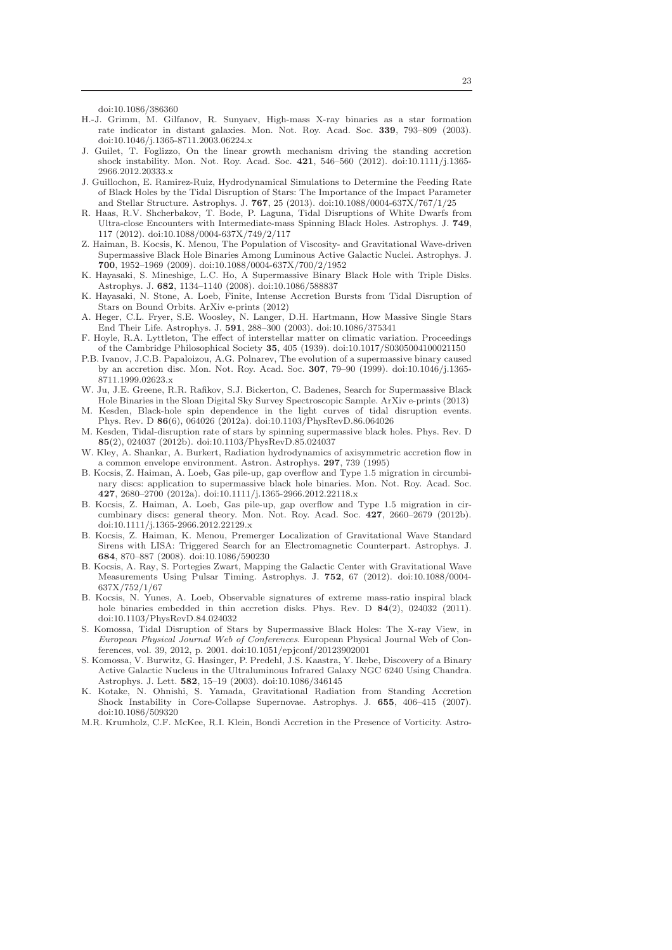doi:10.1086/386360

- <span id="page-22-1"></span>H.-J. Grimm, M. Gilfanov, R. Sunyaev, High-mass X-ray binaries as a star formation rate indicator in distant galaxies. Mon. Not. Roy. Acad. Soc. 339, 793–809 (2003). doi:10.1046/j.1365-8711.2003.06224.x
- <span id="page-22-6"></span>J. Guilet, T. Foglizzo, On the linear growth mechanism driving the standing accretion shock instability. Mon. Not. Roy. Acad. Soc. 421, 546–560 (2012). doi:10.1111/j.1365- 2966.2012.20333.x
- <span id="page-22-18"></span>J. Guillochon, E. Ramirez-Ruiz, Hydrodynamical Simulations to Determine the Feeding Rate of Black Holes by the Tidal Disruption of Stars: The Importance of the Impact Parameter and Stellar Structure. Astrophys. J. 767, 25 (2013). doi:10.1088/0004-637X/767/1/25
- <span id="page-22-21"></span>R. Haas, R.V. Shcherbakov, T. Bode, P. Laguna, Tidal Disruptions of White Dwarfs from Ultra-close Encounters with Intermediate-mass Spinning Black Holes. Astrophys. J. 749, 117 (2012). doi:10.1088/0004-637X/749/2/117
- <span id="page-22-14"></span>Z. Haiman, B. Kocsis, K. Menou, The Population of Viscosity- and Gravitational Wave-driven Supermassive Black Hole Binaries Among Luminous Active Galactic Nuclei. Astrophys. J. 700, 1952–1969 (2009). doi:10.1088/0004-637X/700/2/1952
- <span id="page-22-11"></span>K. Hayasaki, S. Mineshige, L.C. Ho, A Supermassive Binary Black Hole with Triple Disks. Astrophys. J. 682, 1134–1140 (2008). doi:10.1086/588837
- <span id="page-22-20"></span>K. Hayasaki, N. Stone, A. Loeb, Finite, Intense Accretion Bursts from Tidal Disruption of Stars on Bound Orbits. ArXiv e-prints (2012)
- <span id="page-22-0"></span>A. Heger, C.L. Fryer, S.E. Woosley, N. Langer, D.H. Hartmann, How Massive Single Stars End Their Life. Astrophys. J. 591, 288–300 (2003). doi:10.1086/375341
- <span id="page-22-4"></span>F. Hoyle, R.A. Lyttleton, The effect of interstellar matter on climatic variation. Proceedings of the Cambridge Philosophical Society 35, 405 (1939). doi:10.1017/S0305004100021150
- <span id="page-22-10"></span>P.B. Ivanov, J.C.B. Papaloizou, A.G. Polnarev, The evolution of a supermassive binary caused by an accretion disc. Mon. Not. Roy. Acad. Soc. 307, 79–90 (1999). doi:10.1046/j.1365- 8711.1999.02623.x
- <span id="page-22-9"></span>W. Ju, J.E. Greene, R.R. Rafikov, S.J. Bickerton, C. Badenes, Search for Supermassive Black Hole Binaries in the Sloan Digital Sky Survey Spectroscopic Sample. ArXiv e-prints (2013)
- <span id="page-22-19"></span>M. Kesden, Black-hole spin dependence in the light curves of tidal disruption events. Phys. Rev. D 86(6), 064026 (2012a). doi:10.1103/PhysRevD.86.064026
- <span id="page-22-17"></span>M. Kesden, Tidal-disruption rate of stars by spinning supermassive black holes. Phys. Rev. D 85(2), 024037 (2012b). doi:10.1103/PhysRevD.85.024037
- W. Kley, A. Shankar, A. Burkert, Radiation hydrodynamics of axisymmetric accretion flow in a common envelope environment. Astron. Astrophys. 297, 739 (1995)
- <span id="page-22-13"></span>B. Kocsis, Z. Haiman, A. Loeb, Gas pile-up, gap overflow and Type 1.5 migration in circumbinary discs: application to supermassive black hole binaries. Mon. Not. Roy. Acad. Soc. 427, 2680–2700 (2012a). doi:10.1111/j.1365-2966.2012.22118.x
- <span id="page-22-12"></span>B. Kocsis, Z. Haiman, A. Loeb, Gas pile-up, gap overflow and Type 1.5 migration in circumbinary discs: general theory. Mon. Not. Roy. Acad. Soc. 427, 2660–2679 (2012b). doi:10.1111/j.1365-2966.2012.22129.x
- <span id="page-22-15"></span>B. Kocsis, Z. Haiman, K. Menou, Premerger Localization of Gravitational Wave Standard Sirens with LISA: Triggered Search for an Electromagnetic Counterpart. Astrophys. J. 684, 870–887 (2008). doi:10.1086/590230
- <span id="page-22-2"></span>B. Kocsis, A. Ray, S. Portegies Zwart, Mapping the Galactic Center with Gravitational Wave Measurements Using Pulsar Timing. Astrophys. J. 752, 67 (2012). doi:10.1088/0004- 637X/752/1/67
- <span id="page-22-3"></span>B. Kocsis, N. Yunes, A. Loeb, Observable signatures of extreme mass-ratio inspiral black hole binaries embedded in thin accretion disks. Phys. Rev. D 84(2), 024032 (2011). doi:10.1103/PhysRevD.84.024032
- <span id="page-22-16"></span>S. Komossa, Tidal Disruption of Stars by Supermassive Black Holes: The X-ray View, in *European Physical Journal Web of Conferences*. European Physical Journal Web of Conferences, vol. 39, 2012, p. 2001. doi:10.1051/epjconf/20123902001
- <span id="page-22-8"></span>S. Komossa, V. Burwitz, G. Hasinger, P. Predehl, J.S. Kaastra, Y. Ikebe, Discovery of a Binary Active Galactic Nucleus in the Ultraluminous Infrared Galaxy NGC 6240 Using Chandra. Astrophys. J. Lett. 582, 15–19 (2003). doi:10.1086/346145
- <span id="page-22-7"></span>K. Kotake, N. Ohnishi, S. Yamada, Gravitational Radiation from Standing Accretion Shock Instability in Core-Collapse Supernovae. Astrophys. J. 655, 406–415 (2007). doi:10.1086/509320
- <span id="page-22-5"></span>M.R. Krumholz, C.F. McKee, R.I. Klein, Bondi Accretion in the Presence of Vorticity. Astro-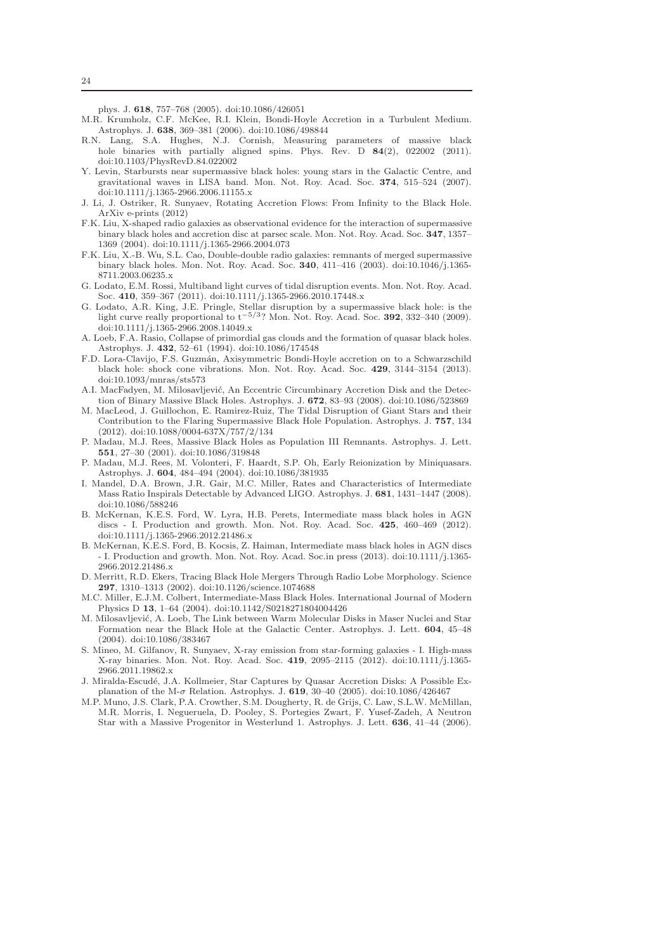phys. J. 618, 757–768 (2005). doi:10.1086/426051

- <span id="page-23-9"></span>M.R. Krumholz, C.F. McKee, R.I. Klein, Bondi-Hoyle Accretion in a Turbulent Medium. Astrophys. J. 638, 369–381 (2006). doi:10.1086/498844
- <span id="page-23-17"></span>R.N. Lang, S.A. Hughes, N.J. Cornish, Measuring parameters of massive black hole binaries with partially aligned spins. Phys. Rev. D  $84(2)$ , 022002 (2011). doi:10.1103/PhysRevD.84.022002
- <span id="page-23-7"></span>Y. Levin, Starbursts near supermassive black holes: young stars in the Galactic Centre, and gravitational waves in LISA band. Mon. Not. Roy. Acad. Soc. 374, 515–524 (2007). doi:10.1111/j.1365-2966.2006.11155.x
- J. Li, J. Ostriker, R. Sunyaev, Rotating Accretion Flows: From Infinity to the Black Hole. ArXiv e-prints (2012)
- <span id="page-23-13"></span>F.K. Liu, X-shaped radio galaxies as observational evidence for the interaction of supermassive binary black holes and accretion disc at parsec scale. Mon. Not. Roy. Acad. Soc. 347, 1357– 1369 (2004). doi:10.1111/j.1365-2966.2004.073
- <span id="page-23-14"></span>F.K. Liu, X.-B. Wu, S.L. Cao, Double-double radio galaxies: remnants of merged supermassive binary black holes. Mon. Not. Roy. Acad. Soc. 340, 411–416 (2003). doi:10.1046/j.1365- 8711.2003.06235.x
- <span id="page-23-20"></span>G. Lodato, E.M. Rossi, Multiband light curves of tidal disruption events. Mon. Not. Roy. Acad. Soc. 410, 359–367 (2011). doi:10.1111/j.1365-2966.2010.17448.x
- <span id="page-23-18"></span>G. Lodato, A.R. King, J.E. Pringle, Stellar disruption by a supermassive black hole: is the light curve really proportional to  $t^{-5/3}$ ? Mon. Not. Roy. Acad. Soc. 392, 332–340 (2009). doi:10.1111/j.1365-2966.2008.14049.x
- <span id="page-23-2"></span>A. Loeb, F.A. Rasio, Collapse of primordial gas clouds and the formation of quasar black holes. Astrophys. J. 432, 52–61 (1994). doi:10.1086/174548
- <span id="page-23-10"></span>F.D. Lora-Clavijo, F.S. Guzm´an, Axisymmetric Bondi-Hoyle accretion on to a Schwarzschild black hole: shock cone vibrations. Mon. Not. Roy. Acad. Soc. 429, 3144–3154 (2013). doi:10.1093/mnras/sts573
- <span id="page-23-15"></span>A.I. MacFadyen, M. Milosavljević, An Eccentric Circumbinary Accretion Disk and the Detection of Binary Massive Black Holes. Astrophys. J. 672, 83–93 (2008). doi:10.1086/523869
- <span id="page-23-19"></span>M. MacLeod, J. Guillochon, E. Ramirez-Ruiz, The Tidal Disruption of Giant Stars and their Contribution to the Flaring Supermassive Black Hole Population. Astrophys. J. 757, 134 (2012). doi:10.1088/0004-637X/757/2/134
- <span id="page-23-6"></span>P. Madau, M.J. Rees, Massive Black Holes as Population III Remnants. Astrophys. J. Lett. 551, 27–30 (2001). doi:10.1086/319848
- <span id="page-23-4"></span>P. Madau, M.J. Rees, M. Volonteri, F. Haardt, S.P. Oh, Early Reionization by Miniquasars. Astrophys. J. 604, 484–494 (2004). doi:10.1086/381935
- <span id="page-23-5"></span>I. Mandel, D.A. Brown, J.R. Gair, M.C. Miller, Rates and Characteristics of Intermediate Mass Ratio Inspirals Detectable by Advanced LIGO. Astrophys. J. 681, 1431–1447 (2008). doi:10.1086/588246
- <span id="page-23-8"></span>B. McKernan, K.E.S. Ford, W. Lyra, H.B. Perets, Intermediate mass black holes in AGN discs - I. Production and growth. Mon. Not. Roy. Acad. Soc. 425, 460-469 (2012). doi:10.1111/j.1365-2966.2012.21486.x
- <span id="page-23-16"></span>B. McKernan, K.E.S. Ford, B. Kocsis, Z. Haiman, Intermediate mass black holes in AGN discs - I. Production and growth. Mon. Not. Roy. Acad. Soc.in press (2013). doi:10.1111/j.1365- 2966.2012.21486.x
- <span id="page-23-12"></span>D. Merritt, R.D. Ekers, Tracing Black Hole Mergers Through Radio Lobe Morphology. Science 297, 1310–1313 (2002). doi:10.1126/science.1074688
- <span id="page-23-3"></span>M.C. Miller, E.J.M. Colbert, Intermediate-Mass Black Holes. International Journal of Modern Physics D 13, 1–64 (2004). doi:10.1142/S0218271804004426
- <span id="page-23-11"></span>M. Milosavljević, A. Loeb, The Link between Warm Molecular Disks in Maser Nuclei and Star Formation near the Black Hole at the Galactic Center. Astrophys. J. Lett. 604, 45–48 (2004). doi:10.1086/383467
- <span id="page-23-1"></span>S. Mineo, M. Gilfanov, R. Sunyaev, X-ray emission from star-forming galaxies - I. High-mass X-ray binaries. Mon. Not. Roy. Acad. Soc. 419, 2095–2115 (2012). doi:10.1111/j.1365- 2966.2011.19862.x
- <span id="page-23-21"></span>J. Miralda-Escud´e, J.A. Kollmeier, Star Captures by Quasar Accretion Disks: A Possible Explanation of the M- $\sigma$  Relation. Astrophys. J. 619, 30-40 (2005). doi:10.1086/426467
- <span id="page-23-0"></span>M.P. Muno, J.S. Clark, P.A. Crowther, S.M. Dougherty, R. de Grijs, C. Law, S.L.W. McMillan, M.R. Morris, I. Negueruela, D. Pooley, S. Portegies Zwart, F. Yusef-Zadeh, A Neutron Star with a Massive Progenitor in Westerlund 1. Astrophys. J. Lett. 636, 41–44 (2006).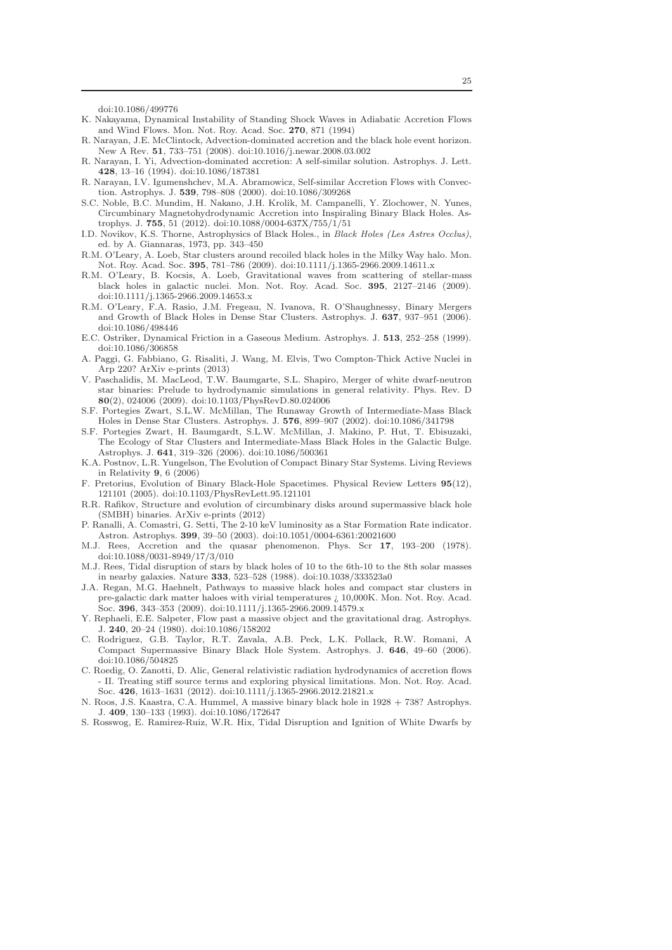doi:10.1086/499776

- <span id="page-24-14"></span>K. Nakayama, Dynamical Instability of Standing Shock Waves in Adiabatic Accretion Flows and Wind Flows. Mon. Not. Roy. Acad. Soc. 270, 871 (1994)
- <span id="page-24-17"></span>R. Narayan, J.E. McClintock, Advection-dominated accretion and the black hole event horizon. New A Rev. 51, 733–751 (2008). doi:10.1016/j.newar.2008.03.002
- <span id="page-24-16"></span>R. Narayan, I. Yi, Advection-dominated accretion: A self-similar solution. Astrophys. J. Lett. 428, 13–16 (1994). doi:10.1086/187381
- <span id="page-24-18"></span>R. Narayan, I.V. Igumenshchev, M.A. Abramowicz, Self-similar Accretion Flows with Convection. Astrophys. J. 539, 798–808 (2000). doi:10.1086/309268
- <span id="page-24-23"></span>S.C. Noble, B.C. Mundim, H. Nakano, J.H. Krolik, M. Campanelli, Y. Zlochower, N. Yunes, Circumbinary Magnetohydrodynamic Accretion into Inspiraling Binary Black Holes. Astrophys. J. 755, 51 (2012). doi:10.1088/0004-637X/755/1/51
- <span id="page-24-15"></span>I.D. Novikov, K.S. Thorne, Astrophysics of Black Holes., in *Black Holes (Les Astres Occlus)*, ed. by A. Giannaras, 1973, pp. 343–450
- <span id="page-24-4"></span>R.M. O'Leary, A. Loeb, Star clusters around recoiled black holes in the Milky Way halo. Mon. Not. Roy. Acad. Soc. 395, 781–786 (2009). doi:10.1111/j.1365-2966.2009.14611.x
- <span id="page-24-6"></span>R.M. O'Leary, B. Kocsis, A. Loeb, Gravitational waves from scattering of stellar-mass black holes in galactic nuclei. Mon. Not. Roy. Acad. Soc. 395, 2127–2146 (2009). doi:10.1111/j.1365-2966.2009.14653.x
- <span id="page-24-8"></span>R.M. O'Leary, F.A. Rasio, J.M. Fregeau, N. Ivanova, R. O'Shaughnessy, Binary Mergers and Growth of Black Holes in Dense Star Clusters. Astrophys. J. 637, 937–951 (2006). doi:10.1086/498446
- <span id="page-24-13"></span>E.C. Ostriker, Dynamical Friction in a Gaseous Medium. Astrophys. J. 513, 252–258 (1999). doi:10.1086/306858
- <span id="page-24-19"></span>A. Paggi, G. Fabbiano, G. Risaliti, J. Wang, M. Elvis, Two Compton-Thick Active Nuclei in Arp 220? ArXiv e-prints (2013)
- <span id="page-24-2"></span>V. Paschalidis, M. MacLeod, T.W. Baumgarte, S.L. Shapiro, Merger of white dwarf-neutron star binaries: Prelude to hydrodynamic simulations in general relativity. Phys. Rev. D 80(2), 024006 (2009). doi:10.1103/PhysRevD.80.024006
- <span id="page-24-7"></span>S.F. Portegies Zwart, S.L.W. McMillan, The Runaway Growth of Intermediate-Mass Black Holes in Dense Star Clusters. Astrophys. J. 576, 899–907 (2002). doi:10.1086/341798
- <span id="page-24-9"></span>S.F. Portegies Zwart, H. Baumgardt, S.L.W. McMillan, J. Makino, P. Hut, T. Ebisuzaki, The Ecology of Star Clusters and Intermediate-Mass Black Holes in the Galactic Bulge. Astrophys. J. 641, 319–326 (2006). doi:10.1086/500361
- <span id="page-24-1"></span>K.A. Postnov, L.R. Yungelson, The Evolution of Compact Binary Star Systems. Living Reviews in Relativity 9, 6 (2006)
- <span id="page-24-3"></span>F. Pretorius, Evolution of Binary Black-Hole Spacetimes. Physical Review Letters 95(12), 121101 (2005). doi:10.1103/PhysRevLett.95.121101
- <span id="page-24-22"></span>R.R. Rafikov, Structure and evolution of circumbinary disks around supermassive black hole (SMBH) binaries. ArXiv e-prints (2012)
- <span id="page-24-0"></span>P. Ranalli, A. Comastri, G. Setti, The 2-10 keV luminosity as a Star Formation Rate indicator. Astron. Astrophys. 399, 39–50 (2003). doi:10.1051/0004-6361:20021600
- <span id="page-24-10"></span>M.J. Rees, Accretion and the quasar phenomenon. Phys. Scr 17, 193–200 (1978). doi:10.1088/0031-8949/17/3/010
- <span id="page-24-24"></span>M.J. Rees, Tidal disruption of stars by black holes of 10 to the 6th-10 to the 8th solar masses in nearby galaxies. Nature 333, 523–528 (1988). doi:10.1038/333523a0
- <span id="page-24-5"></span>J.A. Regan, M.G. Haehnelt, Pathways to massive black holes and compact star clusters in pre-galactic dark matter haloes with virial temperatures ¿ 10,000K. Mon. Not. Roy. Acad. Soc. 396, 343–353 (2009). doi:10.1111/j.1365-2966.2009.14579.x
- <span id="page-24-12"></span>Y. Rephaeli, E.E. Salpeter, Flow past a massive object and the gravitational drag. Astrophys. J. 240, 20–24 (1980). doi:10.1086/158202
- <span id="page-24-20"></span>C. Rodriguez, G.B. Taylor, R.T. Zavala, A.B. Peck, L.K. Pollack, R.W. Romani, A Compact Supermassive Binary Black Hole System. Astrophys. J. 646, 49–60 (2006). doi:10.1086/504825
- <span id="page-24-11"></span>C. Roedig, O. Zanotti, D. Alic, General relativistic radiation hydrodynamics of accretion flows - II. Treating stiff source terms and exploring physical limitations. Mon. Not. Roy. Acad. Soc. 426, 1613–1631 (2012). doi:10.1111/j.1365-2966.2012.21821.x
- <span id="page-24-21"></span>N. Roos, J.S. Kaastra, C.A. Hummel, A massive binary black hole in 1928 + 738? Astrophys. J. 409, 130–133 (1993). doi:10.1086/172647
- <span id="page-24-25"></span>S. Rosswog, E. Ramirez-Ruiz, W.R. Hix, Tidal Disruption and Ignition of White Dwarfs by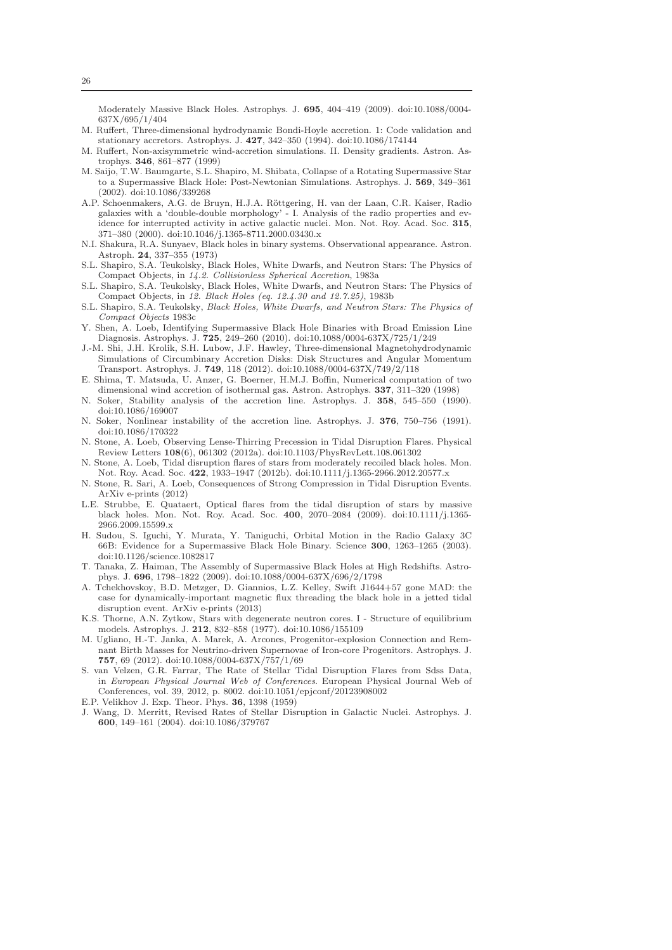Moderately Massive Black Holes. Astrophys. J. 695, 404–419 (2009). doi:10.1088/0004- 637X/695/1/404

- <span id="page-25-5"></span>M. Ruffert, Three-dimensional hydrodynamic Bondi-Hoyle accretion. 1: Code validation and stationary accretors. Astrophys. J. 427, 342–350 (1994). doi:10.1086/174144
- <span id="page-25-6"></span>M. Ruffert, Non-axisymmetric wind-accretion simulations. II. Density gradients. Astron. Astrophys. 346, 861–877 (1999)
- <span id="page-25-4"></span>M. Saijo, T.W. Baumgarte, S.L. Shapiro, M. Shibata, Collapse of a Rotating Supermassive Star to a Supermassive Black Hole: Post-Newtonian Simulations. Astrophys. J. 569, 349–361 (2002). doi:10.1086/339268
- <span id="page-25-11"></span>A.P. Schoenmakers, A.G. de Bruyn, H.J.A. Röttgering, H. van der Laan, C.R. Kaiser, Radio galaxies with a 'double-double morphology' - I. Analysis of the radio properties and evidence for interrupted activity in active galactic nuclei. Mon. Not. Roy. Acad. Soc. 315, 371–380 (2000). doi:10.1046/j.1365-8711.2000.03430.x
- <span id="page-25-9"></span>N.I. Shakura, R.A. Sunyaev, Black holes in binary systems. Observational appearance. Astron. Astroph. 24, 337–355 (1973)
- <span id="page-25-2"></span>S.L. Shapiro, S.A. Teukolsky, Black Holes, White Dwarfs, and Neutron Stars: The Physics of Compact Objects, in *14.2. Collisionless Spherical Accretion*, 1983a
- <span id="page-25-10"></span>S.L. Shapiro, S.A. Teukolsky, Black Holes, White Dwarfs, and Neutron Stars: The Physics of Compact Objects, in *12. Black Holes (eq. 12.4.30 and 12.7.25)*, 1983b
- S.L. Shapiro, S.A. Teukolsky, *Black Holes, White Dwarfs, and Neutron Stars: The Physics of Compact Objects* 1983c
- <span id="page-25-14"></span>Y. Shen, A. Loeb, Identifying Supermassive Black Hole Binaries with Broad Emission Line Diagnosis. Astrophys. J. 725, 249–260 (2010). doi:10.1088/0004-637X/725/1/249
- <span id="page-25-13"></span>J.-M. Shi, J.H. Krolik, S.H. Lubow, J.F. Hawley, Three-dimensional Magnetohydrodynamic Simulations of Circumbinary Accretion Disks: Disk Structures and Angular Momentum Transport. Astrophys. J. 749, 118 (2012). doi:10.1088/0004-637X/749/2/118
- E. Shima, T. Matsuda, U. Anzer, G. Boerner, H.M.J. Boffin, Numerical computation of two dimensional wind accretion of isothermal gas. Astron. Astrophys. 337, 311–320 (1998)
- <span id="page-25-7"></span>N. Soker, Stability analysis of the accretion line. Astrophys. J. 358, 545–550 (1990). doi:10.1086/169007
- <span id="page-25-8"></span>N. Soker, Nonlinear instability of the accretion line. Astrophys. J. 376, 750–756 (1991). doi:10.1086/170322
- <span id="page-25-20"></span>N. Stone, A. Loeb, Observing Lense-Thirring Precession in Tidal Disruption Flares. Physical Review Letters 108(6), 061302 (2012a). doi:10.1103/PhysRevLett.108.061302
- <span id="page-25-21"></span>N. Stone, A. Loeb, Tidal disruption flares of stars from moderately recoiled black holes. Mon. Not. Roy. Acad. Soc. 422, 1933–1947 (2012b). doi:10.1111/j.1365-2966.2012.20577.x
- <span id="page-25-17"></span>N. Stone, R. Sari, A. Loeb, Consequences of Strong Compression in Tidal Disruption Events. ArXiv e-prints (2012)
- <span id="page-25-18"></span>L.E. Strubbe, E. Quataert, Optical flares from the tidal disruption of stars by massive black holes. Mon. Not. Roy. Acad. Soc. 400, 2070–2084 (2009). doi:10.1111/j.1365- 2966.2009.15599.x
- <span id="page-25-12"></span>H. Sudou, S. Iguchi, Y. Murata, Y. Taniguchi, Orbital Motion in the Radio Galaxy 3C 66B: Evidence for a Supermassive Black Hole Binary. Science 300, 1263–1265 (2003). doi:10.1126/science.1082817
- <span id="page-25-3"></span>T. Tanaka, Z. Haiman, The Assembly of Supermassive Black Holes at High Redshifts. Astrophys. J. 696, 1798–1822 (2009). doi:10.1088/0004-637X/696/2/1798
- <span id="page-25-19"></span>A. Tchekhovskoy, B.D. Metzger, D. Giannios, L.Z. Kelley, Swift J1644+57 gone MAD: the case for dynamically-important magnetic flux threading the black hole in a jetted tidal disruption event. ArXiv e-prints (2013)
- <span id="page-25-1"></span>K.S. Thorne, A.N. Zytkow, Stars with degenerate neutron cores. I - Structure of equilibrium models. Astrophys. J. 212, 832–858 (1977). doi:10.1086/155109
- <span id="page-25-0"></span>M. Ugliano, H.-T. Janka, A. Marek, A. Arcones, Progenitor-explosion Connection and Remnant Birth Masses for Neutrino-driven Supernovae of Iron-core Progenitors. Astrophys. J. 757, 69 (2012). doi:10.1088/0004-637X/757/1/69
- <span id="page-25-15"></span>S. van Velzen, G.R. Farrar, The Rate of Stellar Tidal Disruption Flares from Sdss Data, in *European Physical Journal Web of Conferences*. European Physical Journal Web of Conferences, vol. 39, 2012, p. 8002. doi:10.1051/epjconf/20123908002
- E.P. Velikhov J. Exp. Theor. Phys. 36, 1398 (1959)
- <span id="page-25-16"></span>J. Wang, D. Merritt, Revised Rates of Stellar Disruption in Galactic Nuclei. Astrophys. J. 600, 149–161 (2004). doi:10.1086/379767